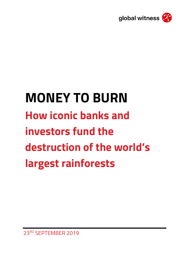

# **MONEY TO BURN How iconic banks and investors fund the destruction of the world's largest rainforests**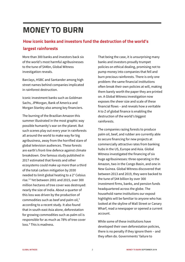# **MONEY TO BURN**

# **How iconic banks and investors fund the destruction of the world's largest rainforests**

More than 300 banks and investors back six of the world's most harmful agribusinesses to the tune of \$44bn, Global Witness investigation reveals.

Barclays, HSBC and Santander among high street names behind companies implicated in rainforest destruction.

Iconic investment banks such as Goldman Sachs, JPMorgan, Bank of America and Morgan Stanley also among key financiers.

The burning of the Brazilian Amazon this summer illustrated in the most graphic way possible humanity's war on the planet. But such scenes play out every year in rainforests all around the world to make way for big agribusiness, away from the horrified stare of global television audiences. These forests are earth's front-line defence against climate breakdown. One famous study published in 2017 estimated that forests and other ecosystems could make up more than a third of the total carbon mitigation by 2030 needed to limit global heating to a 2° Celsius rise.[1](#page-16-0)[2](#page-16-1) Yet between 2001 and 2015, over 300 million hectares of tree cover was destroyed: nearly the size of India. About a quarter of this loss was driven by the production of commodities such as beef and palm oil, $3$ according to a recent study. It also found that in south-east Asia alone, deforestation for growing commodities such as palm oil is responsible for as much as 78% of tree cover loss.[4](#page-16-3) This is madness.

That being the case, it is unsurprising many banks and investors proudly trumpet policies on ethical dealing, promising not to pump money into companies that fell and burn precious rainforests. There is only one problem: the same financial institutions often break their own policies at will, making them barely worth the paper they are printed on. A Global Witness investigation now exposes the sheer size and scale of these financial flows – and reveals how a veritable A to Z of global finance is enabling the destruction of the world's biggest rainforests.

The companies razing forests to produce palm oil, beef, and rubber are currently able to secure financing for new projects at commercially attractive rates from banking hubs in the US, Europe and Asia. Global Witness investigated the financing of six huge agribusinesses: three operating in the Amazon, two in the Congo Basin, and one in New Guinea. Global Witness discovered that between 2013 and 2019, they were backed to the tune of \$44 billion by over 300 investment firms, banks, and pension funds headquartered across the globe. The household name institutions our exposé highlights will be familiar to anyone who has looked at the skyline of Wall Street or Canary Wharf, read a newspaper or opened a current account.

While some of these institutions have developed their own deforestation policies, there is no penalty if they ignore them – and they often do. Governments' failure to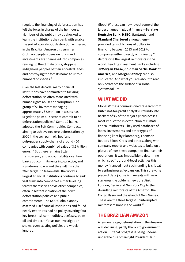regulate the financing of deforestation has left the foxes in charge of the henhouse. Members of the public may be shocked to learn the institutions they bank with enable the sort of apocalyptic destruction witnessed in the Brazilian Amazon this summer. Ordinary people's pension funds and investments are channeled into companies revving up the climate crisis, stripping indigenous peoples of their ancestral lands and destroying the forests home to untold numbers of species.<sup>[5](#page-16-4)</sup>

Over the last decade, many financial institutions have committed to tackling deforestation, so often associated with human rights abuses or corruption. One group of 56 investors managing approximately \$7.9 trillion in assets has urged the palm oil sector to commit to no-deforestation policies.<sup>[6](#page-16-5)</sup> Some 12 banks adopted the Soft Commodities Compact, aiming to achieve net zero deforestation by 2020 in the soy, palm oil, beef and pulp/paper supply chains of around 400 companies with combined sales of 3.5 trillion euros.[7](#page-16-6) [8](#page-16-7) But there remains little transparency and accountability over how banks put commitments into practice, and signatories now admit they will miss the 2020 target. $910$  $910$  Meanwhile, the world's largest financial institutions continue to sink vast sums into companies either levelling forests themselves or via other companies, often in blatant violation of their own deforestation policies and public commitments. The NGO Global Canopy assessed 150 financial institutions and found nearly two-thirds had no policy covering four key forest-risk commodities, beef, soy, palm oil and timber.<sup>[11](#page-16-10)</sup> Yet as our investigation shows, even existing policies are widely ignored.

Global Witness can now reveal some of the largest names in global finance —**Barclays**, **Deutsche Bank, HSBC, Santander** and **Standard Chartered** among them provided tens of billions of dollars in financing between 2013 and 2019 to companies either directly or indirectly [12](#page-16-11) deforesting the largest rainforests in the world. Leading investment banks including **JPMorgan Chase**, **Goldman Sachs**, **Bank of America,** and **Morgan Stanley** are also implicated. And what you are about to read only scratches the surface of a global systems failure.

#### **WHAT WE DID**

Global Witness commissioned research from Dutch not-for-profit analysts Profundo into backers of six of the major agribusinesses most implicated in destruction of climatecritical rainforests. They used databases of loans, investments and other types of financing kept by Bloomberg, Thomson Reuters Eikon, Orbis and others, along with company reports and websites to build up a picture of how these companies finance their operations. It was impossible to determine which specific ground-level activities this money financed - but such funding is critical to agribusinesses' expansion. This sprawling piece of data journalism reveals with new starkness the golden sinews that link London, Berlin and New York City to the dwindling rainforests of the Amazon, the Congo Basin and the island of New Guinea. These are the three largest uninterrupted rainforest regions in the world. $^{13}$  $^{13}$  $^{13}$ 

## **THE BRAZILIAN AMAZON**

A few years ago, deforestation in the Amazon was declining, partly thanks to government action. But that progress is being undone under the rule of far-right President Jair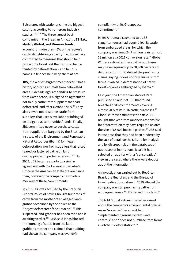Bolsonaro, with cattle ranching the biggest culprit, according to numerous industry studies. $14$  [15](#page-17-0) [16](#page-17-1) The three largest beef companies in the Brazilian Amazon, **JBS S.A**., **Marfrig Global**, and **Minerva Foods,** account for more than 45% of the region's cattle-slaughtering capacity.<sup>[17](#page-17-2)</sup> All three have committed to measures that should help protect the forest. Yet their supply chain is tainted by deforestation – and famous names in finance help keep them afloat.

**JBS**, the world's biggest meatpacker,  $18$  has a history of buying animals from deforested areas. A decade ago, responding to pressure from Greenpeace, JBS signed an agreement not to buy cattle from suppliers that had deforested land after October 2009.<sup>[19](#page-17-4)</sup> They also vowed not to source cattle from suppliers that used slave labor or infringed on indigenous communities' lands. Finally, JBS committed never to purchase cattle from suppliers embargoed by the Brazilian Institute of the Environment and Renewable Natural Resources (Ibama) for illegal deforestation, nor from suppliers that raised, reared, or fattened cattle on land overlapping with protected areas. [20](#page-17-5) [21](#page-17-6) In 2009, JBS became a party to a similar agreement with the Federal Prosecutor's Office in the Amazonian state of Pará. Since then, however, the company has made a mockery of these commitments:

In 2015, JBS was accused by the Brazilian Federal Police of having bought hundreds of cattle from the mother of an alleged landgrabber described by the police as the "largest deforester of the Amazon".<sup>[22](#page-17-7)</sup> This suspected land-grabber has been tried and is awaiting verdict.<sup>[23](#page-17-8)[24](#page-17-9)</sup> JBS said it has blocked the sourcing of cattle from the landgrabber's mother and claimed that auditing had shown the company was over 99%

compliant with its Greenpeace commitment.[25](#page-17-10)

In 2017, Ibama discovered two JBS slaughterhouses had bought 49,468 cattle from embargoed areas, for which the company was fined 24.7 million reais, almost \$8 million at a 2017 conversion rate.<sup>[26](#page-17-11)</sup> Global Witness estimates these cattle purchases may have required up to 38,000 hectares of deforestation.<sup>[27](#page-18-0)</sup> JBS denied the purchasing claims, saying it does not buy animals from farms involved in deforestation of native forests or areas embargoed by Ibama.<sup>[28](#page-18-1)</sup>

Last year, the Amazonian state of Pará published an audit of JBS that found breaches of its commitments covering almost 20% of its 2016 cattle purchases. $29$ Global Witness estimates the cattle JBS bought that year from ranchers responsible for deforestation may have required an area the size of 65,000 football pitches. $30$  JBS said in response that they had been hindered by the lack of detail on the criteria for analysis and by discrepancies in the databases of public sector institutions. It said it had selected an auditor with a "conservative" view in the cases where there were doubts about the information. [31](#page-18-4)

An investigation carried out by Repórter Brasil, the Guardian, and the Bureau of Investigative Journalism in 2019 alleged the company was still purchasing cattle from embargoed areas.<sup>[32](#page-18-5)</sup> JBS denied this claim.<sup>[33](#page-18-6)</sup>

JBS told Global Witness the issues raised about the company's environmental policies make "no sense" because it had "implemented rigorous systems and controls" and "does not purchase from farms involved in deforestation".[34](#page-18-7)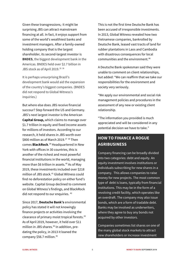Given these transgressions, it might be surprising JBS can attract mainstream financing at all. In fact, it enjoys support from some of the world's wealthiest banks and investment managers. After a family-owned holding company that is the largest shareholder, its second-largest investor is **BNDES**, the biggest development bank in the Americas. BNDES held over \$2.7 billion in JBS stock as of April 2019.<sup>[35](#page-18-8) [36](#page-18-9)</sup>

It is perhaps unsurprising Brazil's development bank would aid the expansion of the country's biggest companies. (BNDES did not respond to Global Witness's inquiries.)

But where else does JBS receive financial succour? Step forward the US and Germany. JBS's next largest investor is the American **Capital Group,** which claims to manage over \$1.7 trillion in equity and fixed income assets for millions of investors. According to our research, it held shares in JBS worth over \$800 million as of March 2019. $37 \frac{38}{10}$  $37 \frac{38}{10}$  $37 \frac{38}{10}$  $37 \frac{38}{10}$  Then comes **BlackRock**. [39](#page-19-0) Headquartered in New York with offices in 30 countries, this is another of the richest and most powerful financial institutions in the world, managing more than \$6 trillion in assets.<sup>[40](#page-19-1)</sup> As of May 2019, these investments included over \$218 million of JBS stock.<sup>[41](#page-19-2)</sup> Global Witness could find no deforestation policy on either fund's website. Capital Group declined to comment on Global Witness's findings, and BlackRock did not respond to our enquiries. <sup>[42](#page-19-3)</sup>

Since 2017, **Deutsche Bank's** environmental policy has stated it will not knowingly finance projects or activities involving the clearance of primary moist tropical forests.[43](#page-19-4) As of April 2019, however, it held over \$11 million in JBS shares.<sup>[44](#page-19-5)</sup> In addition, predating the policy, in 2013 it loaned the company \$56.7 million.[45](#page-19-6)

This is not the first time Deutsche Bank has been accused of irresponsible investments. In 2013, Global Witness revealed how two Vietnamese companies, bankrolled by Deutsche Bank, leased vast tracts of land for rubber plantations in Laos and Cambodia with disastrous consequences for local communities and the environment.<sup>[46](#page-19-7)</sup>

A Deutsche Bank spokesman said they were unable to comment on client relationships, but added: "We can reaffirm that we take our responsibilities for the environment and society very seriously.

"We apply our environmental and social risk management policies and procedures in the assessment of any new or existing client relationship.

"The information you provided is much appreciated and will be considered in any potential decision we have to take."

## **HOW TO FINANCE A ROGUE AGRIBUSINESS**

Company financing can be broadly divided into two categories: debt and equity. An equity investment involves institutions or individuals subscribing for new shares in a company. This allows companies to raise money for new projects. The most common type of debt is loans, typically from financial institutions. This may be in the form of a revolving credit facility, which operates like an overdraft. The company may also issue bonds, which are a form of tradable debt. Banks may be involved as underwriters, where they agree to buy any bonds not acquired by other investors.

Companies sometimes list shares on one of the many global stock markets to attract new shareholders or increase investment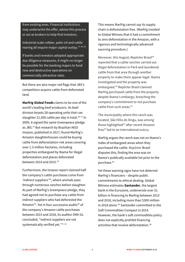from existing ones. Financial institutions may underwrite the offer, advise this process or act as brokers to help find investors.

Industrial scale rubber, palm oil and cattle rearing all require major capital outlay.[47](#page-19-8) [48](#page-19-9) [49](#page-19-10)

If banks and investors adopted appropriate due diligence measures, it might no longer be possible for the banking majors to fund new and destructive operations on commercially attractive rates.

But there are also major red flags that JBS's competitors acquire cattle from deforested land.

**Marfrig Global Foods** claims to be one of the world's leading beef producers. Its beef division boasts 28 operating units that can slaughter 21,[50](#page-19-11)0 cattle per day in total.<sup>50 [51](#page-19-12)</sup> In 2009, it signed the same Greenpeace pledge as JBS.<sup>[52](#page-19-13)</sup> But research by Brazilian NGO Imazon, published in 2017, found Marfrig's Amazon slaughterhouses could be buying cattle from deforestation-risk areas covering over 1.3 million hectares, including properties embargoed by Ibama for illegal deforestation and places deforested between 2010 and 2015.<sup>[53](#page-19-14)</sup>

Furthermore, the Imazon report claimed half the company's cattle purchases come from 'indirect suppliers'[54](#page-19-15), where animals pass through numerous ranches before slaughter. As part of Marfrig's Greenpeace pledge, they had agreed not to purchase any cattle from indirect suppliers who had deforested the Amazon<sup>[55](#page-19-16)</sup>. Yet in four successive audits<sup>[56](#page-19-17)</sup> of the company's Amazon cattle purchases between 2015 and 2018, its auditor DNV-GL concluded, "indirect suppliers are not systematically verified yet." [57](#page-20-0) [58](#page-20-1)

This means Marfrig cannot say its supply chain is deforestation free. (Marfrig insisted to Global Witness that it had a commitment to zero deforestation in the Amazon, with a rigorous and technologically advanced sourcing procedure.)

Moreover, this August, Repórter Brasil<sup>[59](#page-20-2)</sup> reported that a cattle rancher carried out illegal deforestation in Pará and laundered cattle from that area through another property to make them appear legal. Ibama investigated and the property was embargoed.<sup>[60](#page-20-3)</sup> Repórter Brasil claimed Marfrig purchased cattle from the property despite Ibama's embargo, breaching the company's commitment to not purchase cattle from such areas.<sup>[61](#page-20-4)</sup>

The municipality where this ranch was located, São Félix do Xingu, was among those highlighted<sup>[62](#page-20-5)</sup> after recent Amazon fires $63$  led to an international outcry.

Marfrig argues the ranch was not on Ibama's index of embargoed areas when they purchased the cattle. Repórter Brasil disputes this, finding the area was on Ibama's publically available list prior to the purchase.[64](#page-20-7)

Yet these warning signs have not deterred Marfrig's financiers – despite public commitments to ethical dealing. Global Witness estimates **Santander**, the largest bank in the Eurozone, underwrote over \$1 billion in financing to Marfrig between 2013 and 2018, including more than \$300 million in 2018 alone.<sup>[65](#page-20-8)</sup> Santander committed to the Soft Commodities Compact in 2014. However, the bank's soft commodities policy does not explicitly prohibit financing activities that involve deforestation.<sup>[66](#page-20-9)</sup>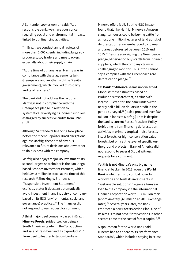A Santander spokeswoman said: "As a responsible bank, we share your concern regarding social and environmental impacts linked to our financing activities.

"In Brazil, we conduct annual reviews of more than 2,000 clients, including large soy producers, soy traders and meatpackers, especially about their supply chain.

"At the time of our analyses, Marfrig was in compliance with these agreements [with Greenpeace and another with the Brazilian government], which involved third-party audits of ranchers."

The bank did not address the fact that Marfrig is not in compliance with the Greenpeace pledge in relation to systematically verifying its indirect suppliers, as flagged by successive audits from DNV- $GL.<sup>67</sup>$  $GL.<sup>67</sup>$  $GL.<sup>67</sup>$ 

Although Santander's financing took place before the recent Repórter Brasil allegations against Marfrig, these are of obvious relevance to future decisions about whether to do business with the company.

Marfrig also enjoys major US investment. Its second-largest shareholder is the San Diegobased Brandes Investment Partners, which held \$94.8 million in stock at the time of this research.<sup>[68](#page-21-0)</sup> Shockingly, Brandes's "Responsible Investment Statement" explicitly states it does *not* automatically avoid investment in any industry or company based on its ESG (environmental, social and governance) practices.[69](#page-21-1) The financier did not respond to our request for comment.

A third major beef company based in Brazil, **Minerva Foods,** prides itself on being a South American leader in the "production and sale of fresh beef and its byproducts".<sup>[70](#page-21-2)</sup> From beef to leather to tallow biodiesel,

Minerva offers it all. But the NGO Imazon found that, like Marfrig, Minerva's Amazon slaughterhouses could be buying cattle from almost one million hectares of land at risk of deforestation, areas embargoed by Ibama and areas deforested between 2010 and 2015.<sup>[71](#page-21-3)</sup> Despite also signing the Greenpeace pledge, Minerva too buys cattle from indirect suppliers, which the company claims is challenging to monitor. Thus it too cannot say it complies with the Greenpeace zero-deforestation pledge.<sup>[72](#page-21-4)</sup>

Yet **Bank of America** seems unconcerned. Global Witness estimates based on Profundo's research that, as Minerva's largest US creditor, the bank underwrote nearly half a billion dollars in credit in the period surveyed.[73](#page-21-5) (It also provided over \$50 million in loans to Marfrig.) That is despite the bank's current Forest Practices Policy forbidding it from financing deforestation activities in primary tropical moist forests, intact forests, or high-conservation value forests, but only at the level of specific on-the-ground projects.<sup>[74](#page-21-6)</sup> Bank of America did not respond to several Global Witness requests for a comment.

Yet this is not Minerva's only big name financial backer. In 2013, even the **World Bank** – which aims to combat poverty worldwide and touts its investments in "sustainable solutions" $75 75 -$  gave a ten-year loan to the company via the International Finance Corporation worth 137 million reais (approximately \$61 million at 2013 exchange rates).<sup>[76](#page-21-8)</sup> Several years later, the bank embraced a new Forests Action Plan. One of its aims is to not have "interventions in other sectors come at the cost of forest capital".<sup>[77](#page-21-9)</sup>

A spokesman for the World Bank said Minerva had to adhere to its "Performance Standards", which included staying in "close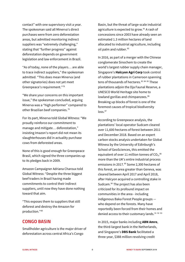contact" with one supervisory visit a year. The spokesman said all Minerva's direct purchases were from zero deforestation areas, but admitted monitoring indirect suppliers was "extremely challenging," stating that "further progress" against deforestation depends on government legislation and law enforcement in Brazil.

"As of today, none of the players… are able to trace indirect suppliers," the spokesman admitted. "This does mean Minerva (and other signatories) does not yet meet Greenpeace's requirement."[78](#page-21-10)

"We share your concerns on this important issue," the spokesman concluded, arguing Minerva was a "high performer" compared to other Brazilian beef companies.[79](#page-21-11)

For its part, Minerva told Global Witness: "We proudly reinforce our commitment to manage and mitigate… deforestation," insisting Imazon's report did not mean its slaughterhouses did in actuality purchase cows from deforested areas.

None of this is good enough for Greenpeace Brasil, which signed the three companies up to its pledges back in 2009.

Amazon Campaigner Adriana Charoux told Global Witness: "Despite the three biggest beef traders in Brazil having made commitments to control their indirect suppliers, until now they have done nothing toward that aim.

"This exposes them to suppliers that still deforest and destroy the Amazon for production."[80](#page-21-12)

#### **CONGO BASIN**

Smallholder agriculture is the major driver of deforestation across central Africa's Congo

Basin, but the threat of large-scale industrial agriculture is expected to grow.<sup>[81](#page-21-13)</sup> A rash of concessions since 2003 have already seen an estimated 1.3 million hectares of land allocated to industrial agriculture, including oil palm and rubber.<sup>[82](#page-21-14)</sup>

In 2016, as part of a merger with the Chinese conglomerate Sinochem to create the world's largest rubber supply chain manager, Singapore's **Halcyon Agri Corp** took control of rubber plantations in Cameroon spanning tens of thousands of hectares.<sup>[83](#page-21-15) [84](#page-21-16) [85](#page-21-17)</sup> These plantations adjoin the Dja Faunal Reserve, a UNESCO World Heritage site home to lowland gorillas and chimpanzees.<sup>[86](#page-21-18)</sup> Breaking up blocks of forest is one of the foremost causes of tropical biodiversity  $\ln$ ss.  $87$ 

According to Greenpeace analysis, the plantations' local operator Sudcam cleared over 11,600 hectares of forest between 2011 and December 2018. Based on an expert carbon stocks analysis undertaken for Global Witness by the University of Edinburgh's School of GeoSciences, this emitted the equivalent of over 11 million tonnes of  $CO<sub>2</sub>$ , [88](#page-21-20) more than the UK's entire industrial process emissions in 2017.<sup>[89](#page-21-21)</sup> Some 2,300 hectares of this forest, an area greater than Geneva, was cleared between April 2017 and April 2018, after Halcyon acquired a controlling stake in Sudcam.<sup>[90](#page-21-22)</sup> The project has also been criticized for its profound impact on communities in the area - including indigenous Baka Forest People groups who depend on the forests. Many have reportedly been forced from their homes and denied access to their customary lands.<sup>[91](#page-21-23) [92](#page-21-24) [93](#page-21-25)</sup>

In 2015, major banks including **ABN Amro**, the third-largest bank in the Netherlands, and Singapore's **DBS Bank** facilitated a three-year, \$388 million revolving credit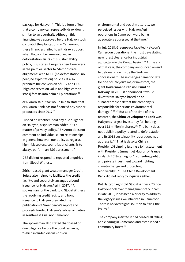package for Halcyon.<sup>[94](#page-21-26)</sup> This is a form of loan that a company can repeatedly draw down, similar to an overdraft. Although this financing was approved before Halcyon took control of the plantations in Cameroon, these financiers failed to withdraw support when Halcyon became involved in deforestation. In its 2019 sustainability policy, DBS states it requires new borrowers in the palm oil sector to "demonstrate alignment" with NDPE (no deforestation, no peat, no exploitation) policies. It also prohibits the conversion of HCV and HCS [high conservation value and high carbon stock] forests into palm oil plantations.<sup>[95](#page-21-27)</sup>

ABN Amro said: "We would like to state that ABN Amro Bank has not financed any rubber producers since 2017."

Pushed on whether it did any due diligence on Halcyon, a spokesman added: "As a matter of privacy policy, ABN Amro does not comment on individual client relationships. In general however, our policy as regards high-risk sectors, countries or clients, is to always perform an ESG assessment."

DBS did not respond to repeated enquiries from Global Witness.

Zürich-based giant wealth manager Credit Suisse also helped to facilitate the credit facility, and separately arranged a bond issuance for Halcyon Agri in 2017.<sup>[96](#page-21-28)</sup> A spokesman for the bank told Global Witness the revolving credit facility and bond issuance to Halcyon pre-dated the publication of Greenpeace's report and proceeds funded Halcyon's rubber activities in south-east Asia, not Cameroon.

The spokesman also stated that based on due diligence before the bond issuance, "which included discussions on

environmental and social matters … we perceived issues with Halcyon Agri operations in Cameroon were being adequately addressed at the time."

In July 2018, Greenpeace labelled Halcyon's Cameroon operations "the most devastating new forest clearance for industrial agriculture in the Congo basin." <sup>[97](#page-21-29)</sup> At the end of that year, the company announced an end to deforestation inside the Sudcam concessions.[98](#page-21-30) These changes came too late for one of Halcyon's major investors, the giant **Government Pension Fund of Norway**. In 2019, it announced it would divest from Halcyon based on an "unacceptable risk that the company is responsible for serious environmental damage." <sup>[99](#page-21-1) [100](#page-21-31)</sup> But as of the time of this research, the **China Development Bank** was Halcyon's largest investor by far, holding over \$73 million in shares.<sup>[101](#page-21-32)</sup> The bank does not publish a policy related to deforestation, and its 2018 sustainability report does not address it.<sup>[102](#page-21-33)</sup> That is despite China's President Xi Jinping issuing a joint statement with President Emmanuel Macron of France in March 2019 calling for "reorienting public and private investment toward fighting climate change and protecting biodiversity".[103](#page-21-34) The China Development Bank did not reply to inquiries either.

But Halcyon Agri told Global Witness: "Since Halcyon took over management of Sudcam in late 2016, it has been a priority to address the legacy issues we inherited in Cameroon. There is no 'overnight' solution to fixing the issues."

The company insisted it had ceased all felling and clearing in Cameroon and established a community forest.<sup>[104](#page-21-35)</sup>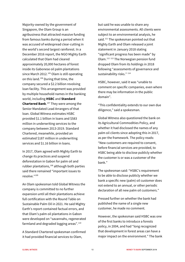Majority-owned by the government of Singapore, the Olam Group is an agribusiness that attracted massive funding from famous banks during a period when it was accused of widespread clear-cutting in the world's second largest rainforest. In a December 2016 report, the NGO Mighty Earth calculated that Olam had cleared approximately 20,000 hectares of forest inside its Gabonese oil palm plantations since March 2012.<sup>[105](#page-21-36)</sup> Olam is still operating on this land.[106](#page-21-37) During that time, the company secured a \$2.2 billion revolving loan facility. This arrangement was provided by multiple household names in the banking world, including **HSBC** and **Standard Chartered Bank**. [107](#page-21-38) They were among the Senior Mandated Lead Arrangers of that loan. Global Witness estimates HSBC provided \$1.1 billion in loans and \$583 million in underwriting services to the company between 2013-2019. Standard Chartered, meanwhile, provided an estimated \$187 million in underwriting services and \$1.16 billion in loans.

In 2017, Olam agreed with Mighty Earth to change its practices and suspend deforestation in Gabon for palm oil and rubber plantations, $108$  although both parties said there remained "important issues to resolve."[109](#page-21-40)

An Olam spokesman told Global Witness the company is committed to no further expansion until all their plantations achieve full certification with the Round Table on Sustainable Palm Oil in 2021. He said Mighty Earth's report contained factual errors, and that Olam's palm oil plantations in Gabon were developed on "savannahs, regenerated farmland and degraded logging areas".<sup>[110](#page-21-41)</sup>

A Standard Chartered spokesman confirmed it had provided financial services to Olam,

but said he was unable to share any environmental assessments. All clients were subject to an environmental analysis, he said. $111$  The spokesman pointed out that Mighty Earth and Olam released a joint statement in January 2018 stating "significant progress has been made" by Olam.[112](#page-21-43) [113](#page-21-44) The Norwegian pension fund dropped Olam from its holdings in 2018 following "assessments of governance and sustainability risks."<sup>[114](#page-21-45)</sup>

HSBC, however, said it was "unable to comment on specific companies, even where there may be information in the public domain".

"This confidentiality extends to our own due diligence," said a spokesman.

Global Witness also questioned the bank on its Agricultural Commodities Policy, and whether it had disclosed the names of any palm oil clients since adopting this in 2017, as per the framework. The policy reads: "New customers are required to consent, before financial services are provided, to HSBC being able to disclose publicly whether the customer is or was a customer of the bank."

The spokesman said: "HSBC's requirement to be able to disclose publicly whether we bank a specific new (palm) oil customer does not extend to an annual, or other periodic declaration of all new palm oil customers."

Pressed further on whether the bank had published the name of a single new customer, he made no comment.

However, the spokesman said HSBC was one of the first banks to introduce a forests policy, in 2004, and had "long recognized that development in forest areas can have a major impact on the environment." The bank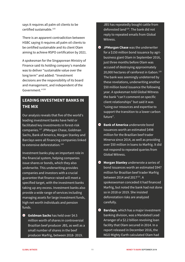says it requires all palm oil clients to be certified sustainable.<sup>[115](#page-21-46)</sup>

There is an apparent contradiction between HSBC saying it requires all palm oil clients to be certified sustainable and its client Olam aiming to achieve RSPO certification by 2021.

A spokesman for the Singaporean Ministry of Finance said its holding company's mandate was to deliver "sustainable value over the long term" and added: "Investment decisions are the responsibility of its board and management, and independent of the Government."[116](#page-21-47)

# **LEADING INVESTMENT BANKS IN THE MIX**

Our analysis reveals that five of the world's leading investment banks have held or facilitated key investments in forest-risk companies.[117](#page-21-48) JPMorgan Chase, Goldman Sachs, Bank of America, Morgan Stanley and Barclays were all financing companies linked to extensive deforestation.<sup>[118](#page-21-49)</sup>

Investment banks play an important role in the financial system, helping companies issue shares or bonds, which they also underwrite. This underwriting provides companies and investors with a crucial guarantee that finance raised will meet a specified target, with the investment banks taking up any excess. Investment banks also provide a wide range of services including managing assets for large investment funds, high net worth individuals and pension funds.

**Goldman Sachs** has held over \$4.5 million worth of shares in controversial Brazilian beef producer JBS, as well as a small number of shares in the beef producer Marfrig, between 2018- 2019.

JBS has repeatedly bought cattle from deforested land<sup>[119](#page-21-50)</sup>. The bank did not reply to repeated emails from Global Witness.

- $\bullet$  JPMorgan Chase was the underwriter for a \$150 million bond issuance by agribusiness giant Olam in September 2016, just three months before Olam was accused of destroying approximately 20,000 hectares of rainforest in Gabon.<sup>[120](#page-21-51)</sup> The bank was seemingly undeterred by these revelations, underwriting another \$50 million bond issuance the following year. A spokesman told Global Witness the bank "can't comment on specific client relationships" but said it was "using our resources and expertise to support the transition to a lower carbon future".
- **Bank of America** underwrote bond issuances worth an estimated \$498 million for the Brazilian beef trader Minerva since 2014, as well as providing over \$50 million in loans to Marfrig. It did not respond to repeated queries from Global Witness.
- **Morgan Stanley** underwrote a series of bond issuances worth an estimated \$947 million for Brazilian beef trader Marfrig between 2014 and 2017 $^{121}$ . A spokeswoman conceded it had financed Marfrig, but noted the bank had not done so in 2018 or 2019. She insisted deforestation risks are analyzed carefully.
- **Barclays**, which has a major investment banking division, was a Mandated Lead Arranger of a \$2.2 billion revolving loan facility that Olam secured in 2014. In a report released in December 2016, the NGO Mighty Earth calculated Olam had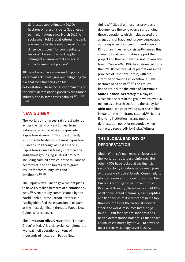deforested approximately 20,000 hectares of forest inside its Gabonese oil palm plantations since March 2012. A spokesman told Global Witness the bank was unable to share outcomes of its due diligence process "for confidentiality reasons". He said the bank applied "stringent environmental and social impact assessment policies".<sup>[122](#page-21-52)</sup>

All these banks have some kind of policy statement acknowledging and mitigating the risk that their financing can fuel deforestation. These focus predominantly on the risk of deforestation posed by the timber industry and in some cases palm oil.<sup>[123](#page-21-53) [124](#page-21-10)</sup> <sup>[125](#page-21-54)</sup> [126](#page-21-55) [127](#page-21-56)

#### **NEW GUINEA**

The world's third-largest rainforest extends across the island of New Guinea, from Indonesian-controlled West Papua into Papua New Guinea.<sup>[128](#page-21-57)</sup> This forest directly supports the livelihoods of rural Papua New Guineans.[129](#page-21-58) Although almost all land in Papua New Guinea is legally controlled by indigenous groups, agricultural projects including palm oil have co-opted millions of hectares of land and forests, with grave results for community lives and livelihoods.<sup>[130](#page-21-59) [131](#page-21-60)</sup>

The Papua New Guinean government plans to have 1.5 million hectares of plantations by 2030.[132](#page-21-31) A 2016 study commissioned by the World Bank's Forest Carbon Partnership Facility identified the expansion of oil palm as the most significant threat to Papua New Guinea's forest cover.<sup>[133](#page-21-61)</sup>

The **Rimbunan Hijau Group** (RHG, 'Forever Green' in Malay) is a Malaysian conglomerate with palm oil operations on tens of thousands of hectares in Papua New

Guinea.[134](#page-21-33) Global Witness has previously documented the controversy surrounding these operations, which includes credible allegations of fraud and forgery perpetrated at the expense of indigenous landowners.<sup>[135](#page-21-5)</sup> Rimbunan Hijau has consistently denied this, claiming local communities support the project and the company has not broken any laws.<sup>[136](#page-21-35)</sup> Since 2008, RHG has deforested more than 20,000 hectares at its plantations in the province of East New Britain, with the intention of planting an eventual 31,000 hectares of oil palm.<sup>[137](#page-21-62) [138](#page-21-8)</sup> The group's financiers include the office of **Sarawak's State Financial Secretary** of Malaysia, which held shares in the group worth over \$6 million as of March 2018, and the Malaysian **Affin Bank**, which provided over \$33 million in loans in the timeframe studied.<sup>[139](#page-21-9)</sup> Neither financing institution has any public deforestation policy or responded when contacted repeatedly by Global Witness.

# **THE GLOBAL BAD BOY OF DEFORESTATION**

Global Witness's own research focused on the world's three largest rainforests. But other NGOs have looked at the financial sector's activity in Indonesia, a crown jewel of the world's tropical forests. Combined, its islands have even more rainforest than New Guinea. According to the Convention of Biological Diversity, these biomes hold 10% of all documented mammals, birds, reptiles and fish species<sup>[140](#page-21-63)</sup>. Its forests are in the top three countries for the carbon its forests stock, the World Resources Institute (WRI) found.[141](#page-21-11) But for decades, Indonesia has been a deforestation hotspot. Of the top ten countries estimated by the WRI to have the most extensive canopy cover in 2000,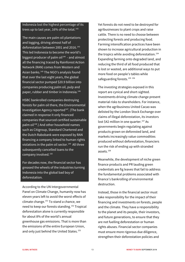Indonesia lost the highest percentage of its trees up to last year,  $16\%$  of the total.<sup>142</sup>

The main causes are palm oil plantations and logging, driving almost half of deforestation between 2001 and 2016.<sup>143</sup> This led Indonesia to become the world's biggest producer of palm oil $144$  - and almost all the financing traced by Rainforest Action Network (RAN) comes from Western and Asian banks.<sup>[145](#page-21-67)</sup> The NGO's analysis found that over the last eight years, the global financial sector pumped \$20.9 billion into companies producing palm oil, pulp and paper, rubber and timber in Indonesia.<sup>[146](#page-21-68)</sup>

HSBC [bankrolled companies destroying](https://eia-international.org/report/banking-on-extinction/)  [forests](https://eia-international.org/report/banking-on-extinction/) for palm oil there, the Environmental Investigation Agency reported $147$ . (The bank claimed in response it only financed companies that sourced certified sustainable palm oil<sup>[148](#page-21-10)</sup>.) And other household names such as Citigroup, Standard Chartered and the Dutch Rabobank were exposed by RAN [financing a company linked to human rights](https://www.google.com/url?sa=t&rct=j&q=&esrc=s&source=web&cd=2&cad=rja&uact=8&ved=2ahUKEwi69uz7r7zkAhWUXsAKHSQxBKQQFjABegQIBBAC&url=https%3A%2F%2Fwww.ran.org%2Fpublications%2Fthe_human_cost_of_conflict_palm_oil_revisited%2F&usg=AOvVaw2EurvGu3xBolbrVZibcYqd)  [violations](https://www.google.com/url?sa=t&rct=j&q=&esrc=s&source=web&cd=2&cad=rja&uact=8&ved=2ahUKEwi69uz7r7zkAhWUXsAKHSQxBKQQFjABegQIBBAC&url=https%3A%2F%2Fwww.ran.org%2Fpublications%2Fthe_human_cost_of_conflict_palm_oil_revisited%2F&usg=AOvVaw2EurvGu3xBolbrVZibcYqd) in the palm oil sector. [149](#page-21-24) All three subsequently cancelled loans to the company involved. [150](#page-21-70)

For decades now, the financial sector has greased the wheels of the industries turning Indonesia into the global bad boy of deforestation.

According to the UN Intergovernmental Panel on Climate Change, humanity now has eleven years left to avoid the worst effects of climate change.[151](#page-21-71) To stand a chance, we need to keep our forests standing.<sup>[152](#page-21-72)</sup> Tropical deforestation alone is currently responsible for about 8% of the world's annual greenhouse gas emissions. That is more than the emissions of the entire European Union, and only just behind the United States.<sup>[153](#page-21-73)</sup>

Yet forests do not need to be destroyed for agribusinesses to plant crops and raise cattle. There is no need to choose between protecting forests and producing food. Farming intensification practices have been shown to increase agricultural production in the tropics while avoiding deforestation.<sup>[154](#page-21-74)</sup> Expanding farming onto degraded land, and reducing the third of all food produced that is lost or wasted, are additional ways to put more food on people's tables while safeguarding forests.<sup>[155](#page-21-62) [156](#page-21-8)</sup>

The investing strategies exposed in this report are cynical and short-sighted. Investments driving climate change present material risks to shareholders. For instance, when the agribusiness United Cacao was delisted by the London Stock Exchange over claims of illegal deforestation, its investors lost \$42 million in one quarter.<sup>[157](#page-21-69)</sup> As governments begin regulating against products grown on deforested land, and markets increasingly value commodities produced without deforestation, financiers run the risk of ending up with stranded assets.[158](#page-21-75)

Meanwhile, the development of niche green finance products and PR lauding green credentials are fig leaves that fail to address the fundamental problems associated with finance's bankrolling of environmental destruction.

Instead, those in the financial sector must take responsibility for the impact of their financing and investments on forests, people and the climate. They have a responsibility to the planet and its people, their investors, and future generations, to ensure that they are not fuelling deforestation or human rights abuses. Financial sector companies must ensure more rigorous due diligence, strengthen their deforestation policies and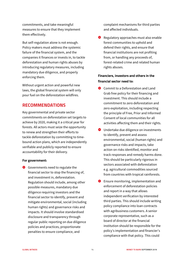commitments, and take meaningful measures to ensure that they implement them effectively.

But self-regulation alone is not enough. Policy makers must address the systemic failure of the financial system, and the companies it finances or invests in, to tackle deforestation and human rights abuses by introducing regulatory measures, including mandatory due diligence, and properly enforcing them.

Without urgent action and powerful new laws, the global financial system will only pour fuel on the deforestation wildfires.

#### **RECOMMENDATIONS**

Key governmental and private sector commitments on deforestation set targets to achieve by 2020, making it a critical year for forests. All actors must seize the opportunity to renew and strengthen their efforts to tackle deforestation by committing to timebound action plans, which are independently verifiable and publicly reported to ensure accountability for their delivery.

#### **For government:**

Governments need to regulate the financial sector to stop the financing of, and investment in, deforestation. Regulation should include, among other possible measures, mandatory due diligence requiring investors and the financial sector to identify, prevent and mitigate environmental, social (including human rights) and governance risks and impacts. It should involve standardised disclosure and transparency through regular public reporting on due diligence policies and practices, proportionate penalties to ensure compliance, and

complaint mechanisms for third parties and affected individuals.

**8** Regulatory approaches must also enable forest communities to uphold and defend their rights, and ensure that financial institutions are not profiting from, or handling any proceeds of, forest-related crime and related human rights abuses.

#### **Financiers, investors and others in the financial sector need to:**

- **O** Commit to a Deforestation and Land Grab free policy for their financing and investment. This should include a commitment to zero deforestation and zero exploitation, including respecting the principle of Free, Prior and Informed Consent of local communities for all activities affecting them and their rights.
- **O** Undertake due diligence on investments to identify, prevent and assess environmental, social (human rights) and governance risks and impacts, take action on risks identified, monitor and track responses and remedy harms done. This should be particularly rigorous in sectors associated with deforestation e.g. agricultural commodities sourced from countries with tropical rainforests.
- **B** Ensure monitoring, implementation and enforcement of deforestation policies and report in a way that allows independent verification by interested third parties. This should include writing policy compliance into loan contracts with agribusiness customers. A senior corporate representative, such as a board of director at the financial institution should be responsible for the policy's implementation and financier's compliance with that policy. This could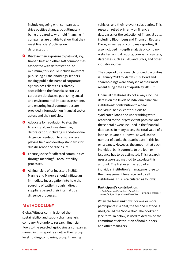include engaging with companies to drive positive change, but ultimately being prepared to withhold financing if companies are unable to show that they meet financiers' policies on deforestation.

- $\bullet$  Disclose their exposure to palm oil, soy, timber, beef and other soft commodities associated with deforestation. At minimum, this should include investors publishing all their holdings, lenders making public the name of corporate agribusiness clients as is already accessible to the financial sector via corporate databases, publishing social and environmental impact assessments and ensuring local communities are provided information on financial sector actors and their policies.
- Advocate for regulation to stop the financing of, and investment in, deforestation, including mandatory due diligence regulation to ensure a level playing field and develop standards for due diligence and disclosure.
- **S** Ensure justice for affected communities through meaningful accountability processes.
- All financiers of or investors in JBS, Marfrig and Minerva should initiate an immediate investigation into how the sourcing of cattle through indirect suppliers passed their internal due diligence processes.

#### **METHODOLOGY**

Global Witness commissioned the sustainability and supply chain analysis company Profundo to research financial flows to the selected agribusiness companies named in this report, as well as their group level holding companies, group financing

vehicles, and their relevant subsidiaries. This research relied primarily on financial databases for the collection of financial data, including Bloomberg and Thomson Reuters Eikon, as well as on company reporting. It also included in-depth analysis of company websites, annual reports, company registers, databases such as EMIS and Orbis, and other industry sources.

The scope of this research for credit activities is January 2013 to March 2019. Bond and shareholdings were analysed at their most recent filing date as of April/May 2019.[159](#page-21-76)

Financial databases do not always include details on the levels of individual financial institutions' contribution to a deal. Individual banks' contributions to syndicated loans and underwriting were recorded to the largest extent possible where these details were included in the financial databases. In many cases, the total value of a loan or issuance is known, as well as the number of banks that participate in this loan or issuance. However, the amount that each individual bank commits to the loan or issuance has to be estimated. This research uses a two-step method to calculate this amount. The first uses the ratio of an individual institution's management fee to the management fees received by all institutions. This is calculated as follows:

#### **Participant's contribution:**

 $\left(\frac{individual\ participant\ attributed\ fee}{sum\ of\ all\ participants\ attributed\ fees} * \ principal\ amount\right)$ 

When the fee is unknown for one or more participants in a deal, the second method is used, called the 'bookratio'. The bookratio (see formula below) is used to determine the commitment distribution of bookrunners and other managers.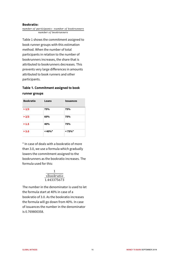#### **Bookratio:**

number of participants - number of bookrunners number of bookrunners

Table 1 shows the commitment assigned to book runner groups with this estimation method. When the number of total participants in relation to the number of bookrunners increases, the share that is attributed to bookrunners decreases. This prevents very large differences in amounts attributed to book runners and other participants.

#### **Table 1. Commitment assigned to book runner groups**

| <b>Bookratio</b> | Loans      | <b>Issuances</b> |
|------------------|------------|------------------|
| >1/3             | 75%        | 75%              |
| >2/3             | 60%        | 75%              |
| >1.5             | 40%        | 75%              |
| > 3.0            | $< 40\%$ * | $< 75\%$ *       |

\* In case of deals with a bookratio of more than 3.0, we use a formula which gradually lowers the commitment assigned to the bookrunners as the bookratio increases. The formula used for this:

| $\sqrt{bookratio}$ |  |
|--------------------|--|
| 1.443375673        |  |

The number in the denominator is used to let the formula start at 40% in case of a bookratio of 3.0. As the bookratio increases the formula will go down from 40%. In case of issuances the number in the denominator is 0.769800358.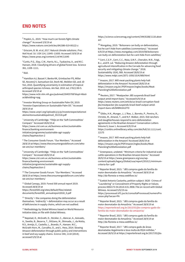#### **END NOTES**

<span id="page-16-0"></span><sup>1</sup> Popkin, G., 2019. "How much can forests fight climate change?" Accessed 2/9/19 at

<https://www.nature.com/articles/d41586-019-00122-z>

<span id="page-16-1"></span><sup>2</sup> Griscom, B. W. *et al, 2017.* Natural climate solutions. *Proc. Natl Acad. Sci. USA* 114, 11645–11650. Accessed 19/9/19 at <https://www.pnas.org/content/114/44/11645>

<span id="page-16-2"></span><sup>3</sup> Curtis, P.G., Slay, C.M., Harris, N.L., Tyukavina, A., and M.C. Hansen, 2018. Classifying drivers of global forest loss. Science 361, 1108–1111.

<span id="page-16-3"></span> $4$  Ibid.

<u>.</u>

<span id="page-16-4"></span><sup>5</sup> [Hamilton AJ,](https://www.ncbi.nlm.nih.gov/pubmed/?term=Hamilton%20AJ%5BAuthor%5D&cauthor=true&cauthor_uid=20455708) [Basset Y,](https://www.ncbi.nlm.nih.gov/pubmed/?term=Basset%20Y%5BAuthor%5D&cauthor=true&cauthor_uid=20455708) [Benke KK,](https://www.ncbi.nlm.nih.gov/pubmed/?term=Benke%20KK%5BAuthor%5D&cauthor=true&cauthor_uid=20455708) [Grimbacher](https://www.ncbi.nlm.nih.gov/pubmed/?term=Grimbacher%20PS%5BAuthor%5D&cauthor=true&cauthor_uid=20455708) PS, [Miller](https://www.ncbi.nlm.nih.gov/pubmed/?term=Miller%20SE%5BAuthor%5D&cauthor=true&cauthor_uid=20455708)  [SE,](https://www.ncbi.nlm.nih.gov/pubmed/?term=Miller%20SE%5BAuthor%5D&cauthor=true&cauthor_uid=20455708) [Novotný V,](https://www.ncbi.nlm.nih.gov/pubmed/?term=Novotn%C3%BD%20V%5BAuthor%5D&cauthor=true&cauthor_uid=20455708) [Samuelson GA,](https://www.ncbi.nlm.nih.gov/pubmed/?term=Samuelson%20GA%5BAuthor%5D&cauthor=true&cauthor_uid=20455708) [Stork NE,](https://www.ncbi.nlm.nih.gov/pubmed/?term=Stork%20NE%5BAuthor%5D&cauthor=true&cauthor_uid=20455708) [Weiblen GD,](https://www.ncbi.nlm.nih.gov/pubmed/?term=Weiblen%20GD%5BAuthor%5D&cauthor=true&cauthor_uid=20455708) and JD Yen, 2010. Quantifying uncertainty in estimation of tropical arthropod species richness[. Am Nat.](https://www.ncbi.nlm.nih.gov/pubmed/20455708?dopt=Abstract&holding=npg) 2010 Jul; 176(1):90-5. Accessed 3/9/19 at

[https://www.ncbi.nlm.nih.gov/pubmed/20455708?dopt=Abstr](https://www.ncbi.nlm.nih.gov/pubmed/20455708?dopt=Abstract&holding=npg) [act&holding=npg](https://www.ncbi.nlm.nih.gov/pubmed/20455708?dopt=Abstract&holding=npg)

<span id="page-16-5"></span><sup>6</sup> Investor Working Group on Sustainable Palm Oil, 2019. "Investor Expectations on Sustainable Palm Oil." Accessed 28/9/19 at

[https://www.unpri.org/Uploads/y/y/p/investorexpectationsst](https://www.unpri.org/Uploads/y/y/p/investorexpectationsstatementonsustainablepalmoil_551518.pdf) [atementonsustainablepalmoil\\_551518.pdf](https://www.unpri.org/Uploads/y/y/p/investorexpectationsstatementonsustainablepalmoil_551518.pdf)

<span id="page-16-6"></span><sup>7</sup> University of Cambridge. "FAQs on the 'Soft Commodities' Compact." Accessed 28/8/19 at [https://www.cisl.cam.ac.uk/business-action/sustainable](https://www.cisl.cam.ac.uk/business-action/sustainable-finance/banking-environment-initiative/programme/sustainable-agri-supply-chains/faqs#section-2)[finance/banking-environment](https://www.cisl.cam.ac.uk/business-action/sustainable-finance/banking-environment-initiative/programme/sustainable-agri-supply-chains/faqs#section-2)[initiative/programme/sustainable-agri-supply](https://www.cisl.cam.ac.uk/business-action/sustainable-finance/banking-environment-initiative/programme/sustainable-agri-supply-chains/faqs#section-2)[chains/faqs#section-2](https://www.cisl.cam.ac.uk/business-action/sustainable-finance/banking-environment-initiative/programme/sustainable-agri-supply-chains/faqs#section-2)

<span id="page-16-7"></span><sup>8</sup> The Consumer Goods Forum. "Our Members." Accessed 28/8/19 a[t https://www.theconsumergoodsforum.com/who](https://www.theconsumergoodsforum.com/who-we-are/our-members/)[we-are/our-members/](https://www.theconsumergoodsforum.com/who-we-are/our-members/)

<span id="page-16-8"></span><sup>9</sup> University of Cambridge. "FAQs on the 'Soft Commodities' Compact." Accessed 28/8/19 at [https://www.cisl.cam.ac.uk/business-action/sustainable](https://www.cisl.cam.ac.uk/business-action/sustainable-finance/banking-environment-initiative/programme/sustainable-agri-supply-chains/faqs#section-2)[finance/banking-environment](https://www.cisl.cam.ac.uk/business-action/sustainable-finance/banking-environment-initiative/programme/sustainable-agri-supply-chains/faqs#section-2)[initiative/programme/sustainable-agri-supply](https://www.cisl.cam.ac.uk/business-action/sustainable-finance/banking-environment-initiative/programme/sustainable-agri-supply-chains/faqs#section-2)[chains/faqs#section-2](https://www.cisl.cam.ac.uk/business-action/sustainable-finance/banking-environment-initiative/programme/sustainable-agri-supply-chains/faqs#section-2)

<span id="page-16-9"></span><sup>10</sup> The Consumer Goods Forum. "Our Members." Accessed 28/8/19 a[t https://www.theconsumergoodsforum.com/who](https://www.theconsumergoodsforum.com/who-we-are/our-members/)[we-are/our-members/](https://www.theconsumergoodsforum.com/who-we-are/our-members/)

<span id="page-16-10"></span><sup>11</sup> Global Canopy, 2019. Forest 500 annual report 2019. Accessed 28/8/19 at [https://forest500.org/sites/default/files/related](https://forest500.org/sites/default/files/related-documents/forest500_annualreport2018_0.pdf)[documents/forest500\\_annualreport2018\\_0.pdf](https://forest500.org/sites/default/files/related-documents/forest500_annualreport2018_0.pdf)

<span id="page-16-11"></span> $12$  'Directly' = the companies doing the deforestation themselves. 'Indirectly' = deforestation may occur as a result of deficiencies in supply chains, which are not audited.

<span id="page-16-12"></span><sup>13</sup> Methodology by Global Witness based on World Resource Initiative data; on file with Global Witness.

<span id="page-16-13"></span><sup>14</sup> Nepstad, D., McGrath, D., Stickler, C., Alencar, A., Azevado, A., Swette, B., Bezerra, T., DiGiano, M., Shimada, J., da Motta, R.S., Armijo, E., Castello, L., Brando, P., Hansen. M.C., McGrath-Horn, M., Carvalho, O., and L. Hess, 2014. Slowing Amazon deforestation through public policy and interventions in beef and soy supply chains. *Science* 344, 1118 (2014); accessed 5/9/19 at

[https://science.sciencemag.org/content/344/6188/1118.abstr](https://science.sciencemag.org/content/344/6188/1118.abstract) [act](https://science.sciencemag.org/content/344/6188/1118.abstract)

<sup>15</sup> Mongabay, 2019. "Bolsonaro can bully on deforestation, but he can't hide from satellites (commentary)." Accessed 6/9/19 a[t https://news.mongabay.com/2019/08/bolsonaro](https://news.mongabay.com/2019/08/bolsonaro-can-bully-on-deforestation-but-he-cant-hide-from-satellites/)[can-bully-on-deforestation-but-he-cant-hide-from-satellites/](https://news.mongabay.com/2019/08/bolsonaro-can-bully-on-deforestation-but-he-cant-hide-from-satellites/)

<sup>16</sup> Cerri, C.E.P., Cerri, C.C., Maia, S.M.F., Cherubin, M.R., Feigl, B.J., and R. Lal. "Reducing Amazon deforestation through agricultural intensification in the Cerrado for advancing food security and mitigating climate change." 2018. Sustainability 10(4), 989. Accessed 28/8/19 at [https://www.mdpi.com/2071-1050/10/4/989/html](https://www.mdpi.com/2071-1050/10/4/989/htm)

<sup>17</sup> Imazon, 2017. Will meat-packing plants help halt deforestation in the Amazon? Accessed 28/8/19 at [https://imazon.org.br//PDFimazon/Ingles/books/Meat-](https://imazon.org.br/PDFimazon/Ingles/books/Meat-Plancking%20Deforestation.pdf)[Plancking%20Deforestation.pdf](https://imazon.org.br/PDFimazon/Ingles/books/Meat-Plancking%20Deforestation.pdf)

18 Reuters, 2017. "Meatpacker JBS suspends Brazil beef output amid import bans." Accessed 6/9/19 at [https://www.reuters.com/article/us-brazil-corruption-food](https://www.reuters.com/article/us-brazil-corruption-food-jbs/meatpacker-jbs-suspends-brazil-beef-output-amid-import-bans-idUSKBN16U2TO)[jbs/meatpacker-jbs-suspends-brazil-beef-output-amid](https://www.reuters.com/article/us-brazil-corruption-food-jbs/meatpacker-jbs-suspends-brazil-beef-output-amid-import-bans-idUSKBN16U2TO)[import-bans-idUSKBN16U2TO](https://www.reuters.com/article/us-brazil-corruption-food-jbs/meatpacker-jbs-suspends-brazil-beef-output-amid-import-bans-idUSKBN16U2TO)

<sup>19</sup> Gibbs, H.K., Munger, J., L'Roe, J., Barreto, P., Pereira, R., Christie, M., Amaral, T., and N.F. Walker, 2015. Did ranchers and slaughterhouses respond to zero-deforestation agreements in the Brazilian Amazon[? Conservation Letters](https://conbio.onlinelibrary.wiley.com/journal/1755263x) [Volume 9, Issue 1.](https://conbio.onlinelibrary.wiley.com/toc/1755263x/2016/9/1) Accessed 6/9/19 at [https://conbio.onlinelibrary.wiley.com/doi/full/10.1111/conl.](https://conbio.onlinelibrary.wiley.com/doi/full/10.1111/conl.12175) [12175](https://conbio.onlinelibrary.wiley.com/doi/full/10.1111/conl.12175)

<sup>20</sup> Imazon, 2017. Will meat-packing plants help halt deforestation in the Amazon? Accessed 28/8/19 at [https://imazon.org.br/PDFimazon/Ingles/books/Meat-](https://imazon.org.br/PDFimazon/Ingles/books/Meat-Plancking%20Deforestation.pdf)[Plancking%20Deforestation.pdf](https://imazon.org.br/PDFimazon/Ingles/books/Meat-Plancking%20Deforestation.pdf)

 $21$  Greenpeace, undated. "Minimum criteria for industrial scale cattle operations in the Brazilian Amazon biome." Accessed 28/9/19 a[t https://www.greenpeace.org/usa/wp](https://www.greenpeace.org/usa/wp-content/uploads/legacy/Global/usa/report/2010/1/minimum-criteria-for-i.pdf)[content/uploads/legacy/Global/usa/report/2010/1/minimum](https://www.greenpeace.org/usa/wp-content/uploads/legacy/Global/usa/report/2010/1/minimum-criteria-for-i.pdf)[criteria-for-i.pdf](https://www.greenpeace.org/usa/wp-content/uploads/legacy/Global/usa/report/2010/1/minimum-criteria-for-i.pdf)

<sup>22</sup> Reporter Brasil, 2015. "JBS comprou gado da família do maior desmatador da Amazônia." Accessed 28/9/19 at <http://da-floresta-a-mesa.webflow.io/>

<sup>23</sup> Ezekiel Antonio Castanha, petition subject: 3628 - Crimes of "Laundering" or Concealment of Property Rights or Values; process 0002173-54.2014.4.01.3908. File on record with Global Witness. Accessed 5/9/19 via

[https://processual.trf1.jus.br/consultaProcessual/numeroPro](https://processual.trf1.jus.br/consultaProcessual/numeroProcesso.php?secao=PA) [cesso.php?secao=PA](https://processual.trf1.jus.br/consultaProcessual/numeroProcesso.php?secao=PA)

<sup>24</sup> Reporter Brasil, 2015. "JBS comprou gado da família do maior desmatador da Amazônia." Accessed 28/9/19 at [https://reporterbrasil.org.br/2015/03/jbs-comprou-gado-da](https://reporterbrasil.org.br/2015/03/jbs-comprou-gado-da-familia-do-maior-desmatador-da-amazonia/)[familia-do-maior-desmatador-da-amazonia/](https://reporterbrasil.org.br/2015/03/jbs-comprou-gado-da-familia-do-maior-desmatador-da-amazonia/)

<sup>25</sup> Reporter Brasil, 2015. "JBS comprou gado da família do maior desmatador da Amazônia." Accessed 28/9/19 at <http://da-floresta-a-mesa.webflow.io/>

<sup>26</sup> Reporter Brasil, 2017. "JBS compra gado de áreas desmatadas ilegalmente e leva multa de R\$24 milhões." Accessed 28/9/19 a[t https://reporterbrasil.org.br/2017/03/jbs-](https://reporterbrasil.org.br/2017/03/jbs-compra-gado-de-areas-desmatadas-ilegalmente-e-leva-multa-de-r24-milhoes/)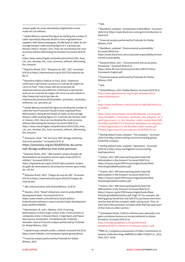[compra-gado-de-areas-desmatadas-ilegalmente-e-leva](https://reporterbrasil.org.br/2017/03/jbs-compra-gado-de-areas-desmatadas-ilegalmente-e-leva-multa-de-r24-milhoes/)[multa-de-r24-milhoes/](https://reporterbrasil.org.br/2017/03/jbs-compra-gado-de-areas-desmatadas-ilegalmente-e-leva-multa-de-r24-milhoes/)

<u>.</u>

<span id="page-17-0"></span> $27$  Global Witness reached this figure by dividing the number of cattle reported by Reporter Brasil to have originated from suppliers with Ibama embargoes, 49,468 head of cattle, by the average Amazon cattle stocking figure of 1.3 animals per hectare cited in: Imazon, 2013. How can one develop the rural economy without deforesting the Amazon? Accessed 28/8/19 at

<span id="page-17-1"></span>[https://www.researchgate.net/publication/261411395\\_How\\_](https://www.researchgate.net/publication/261411395_How_can_one_develop_the_rural_economy_without_deforesting_the_Amazon/) [can\\_one\\_develop\\_the\\_rural\\_economy\\_without\\_deforesting\\_](https://www.researchgate.net/publication/261411395_How_can_one_develop_the_rural_economy_without_deforesting_the_Amazon/) [the\\_Amazon/](https://www.researchgate.net/publication/261411395_How_can_one_develop_the_rural_economy_without_deforesting_the_Amazon/)

<sup>28</sup> Reporter Brazil, 2017. "Resposta da JBS," 2017. Accessed 6/9/19 a[t https://reporterbrasil.org.br/2017/03/resposta-da](https://reporterbrasil.org.br/2017/03/resposta-da-jbs-3/)[jbs-3/](https://reporterbrasil.org.br/2017/03/resposta-da-jbs-3/)

<span id="page-17-2"></span><sup>29</sup> Ministério Público Federal no Pará, 2018. "Auditorias confirmam e aprimoram avanços no controle da origem da carne no Pará.[" http://www.mpf.mp.br/pa/sala-de](http://www.mpf.mp.br/pa/sala-de-imprensa/noticias-pa/auditorias-confirmam-e-aprimoram-avancos-no-controle-da-origem-da-carne-no-para)[imprensa/noticias-pa/auditorias-confirmam-e-aprimoram](http://www.mpf.mp.br/pa/sala-de-imprensa/noticias-pa/auditorias-confirmam-e-aprimoram-avancos-no-controle-da-origem-da-carne-no-para)[avancos-no-controle-da-origem-da-carne-no-para;](http://www.mpf.mp.br/pa/sala-de-imprensa/noticias-pa/auditorias-confirmam-e-aprimoram-avancos-no-controle-da-origem-da-carne-no-para) details in [http://www.mpf.mp.br/pa/sala-de-](http://www.mpf.mp.br/pa/sala-de-imprensa/documentos/2018/detalhes_principais_resultados_auditorias_tac_pecuaria_pa)

<span id="page-17-3"></span>[imprensa/documentos/2018/detalhes\\_principais\\_resultados\\_](http://www.mpf.mp.br/pa/sala-de-imprensa/documentos/2018/detalhes_principais_resultados_auditorias_tac_pecuaria_pa) [auditorias\\_tac\\_pecuaria\\_pa](http://www.mpf.mp.br/pa/sala-de-imprensa/documentos/2018/detalhes_principais_resultados_auditorias_tac_pecuaria_pa)

<span id="page-17-4"></span><sup>30</sup> Global Witness reached this figure by dividing the number of cattle the Para Prosecutor found to have originated from deforestation, being 84,420 heads of cattle, by the average Amazon cattle stocking figure of 1.3 animals per hectare cited in: Imazon, 2013. How can one develop the rural economy without deforesting the Amazon? Accessed 28/8/19 at [https://www.researchgate.net/publication/261411395\\_How\\_](https://www.researchgate.net/publication/261411395_How_can_one_develop_the_rural_economy_without_deforesting_the_Amazon/) [can\\_one\\_develop\\_the\\_rural\\_economy\\_without\\_deforesting\\_](https://www.researchgate.net/publication/261411395_How_can_one_develop_the_rural_economy_without_deforesting_the_Amazon/) [the\\_Amazon/](https://www.researchgate.net/publication/261411395_How_can_one_develop_the_rural_economy_without_deforesting_the_Amazon/)

<span id="page-17-5"></span><sup>31</sup> Amazonia, 2018. "TAC da Carne: MPF divulga auditorias, mas evita punições." Accessed 6/9/19 at [https://amazonia.org.br/2018/03/tac-da-carne](https://amazonia.org.br/2018/03/tac-da-carne-mpf-divulga-auditorias-mas-evita-punicoes)[mpf-divulga-auditorias-mas-evita-punicoes](https://amazonia.org.br/2018/03/tac-da-carne-mpf-divulga-auditorias-mas-evita-punicoes)

<span id="page-17-6"></span><sup>32</sup> Reporter Brasil, 2019. "JBS mantém compra de gado de desmatadores da Amazônia mesmo após multa de R\$ 25 milhões." Accessed 28/8/19 at

[https://reporterbrasil.org.br/2019/07/jbs-mantem-compra](https://reporterbrasil.org.br/2019/07/jbs-mantem-compra-de-gado-de-desmatadores-da-amazonia-mesmo-apos-multa-de-r-25-mi/)[de-gado-de-desmatadores-da-amazonia-mesmo-apos-multa](https://reporterbrasil.org.br/2019/07/jbs-mantem-compra-de-gado-de-desmatadores-da-amazonia-mesmo-apos-multa-de-r-25-mi/)[de-r-25-mi/](https://reporterbrasil.org.br/2019/07/jbs-mantem-compra-de-gado-de-desmatadores-da-amazonia-mesmo-apos-multa-de-r-25-mi/) 

<span id="page-17-8"></span><span id="page-17-7"></span><sup>33</sup> Reporter Brasil, 2019. "Íntegra da nota da JBS." Accessed 6/9/19 a[t https://reporterbrasil.org.br/2019/07/integra-da](https://reporterbrasil.org.br/2019/07/integra-da-nota-da-jbs/)[nota-da-jbs/](https://reporterbrasil.org.br/2019/07/integra-da-nota-da-jbs/)

<sup>34</sup> JBS communication with Global Witness, 31/8/19

<sup>35</sup> Reuters, 2018. "Brazil's Bolsonaro vows to probe BNDES development bank." Accessed 6/9/19 at [https://www.reuters.com/article/us-brazil-politics](https://www.reuters.com/article/us-brazil-politics-bndes/brazils-bolsonaro-vows-to-probe-bndes-development-bank-idUSKCN1NE04G)[bndes/brazils-bolsonaro-vows-to-probe-bndes-development](https://www.reuters.com/article/us-brazil-politics-bndes/brazils-bolsonaro-vows-to-probe-bndes-development-bank-idUSKCN1NE04G)[bank-idUSKCN1NE04G](https://www.reuters.com/article/us-brazil-politics-bndes/brazils-bolsonaro-vows-to-probe-bndes-development-bank-idUSKCN1NE04G)

<span id="page-17-10"></span><span id="page-17-9"></span><sup>36</sup> Warmerdam, W. and J. Walstra, 2019. Financing deforestation in three major carbon sinks: Financial links to companies active in Amazon Basin, Congo Basin and Papua New Guinea, Amsterdam, The Netherlands: Profundo. Hereafter cited as Financial analysis performed by Profundo for Global Witness, 2019

<span id="page-17-11"></span><sup>37</sup> Capital Group Linkedin profile, undated. Accessed 9/6/19 at <https://www.linkedin.com/company/capital-group/about/>

<sup>38</sup> Financial analysis performed by Profundo for Global Witness, 2019

 $39$  Ibid.

<sup>40</sup> BlackRock, undated. "Introduction to BlackRock." Accessed 28/8/19 a[t https://www.blackrock.com/sg/en/introduction-to](https://www.blackrock.com/sg/en/introduction-to-blackrock)[blackrock](https://www.blackrock.com/sg/en/introduction-to-blackrock)

<sup>41</sup> Financial analysis performed by Profundo for Global Witness, 2019

<sup>42</sup> BlackRock, undated. "Environmental sustainability." Accessed 28/8/19 at

[https://www.blackrock.com/corporate/responsibility/environ](https://www.blackrock.com/corporate/responsibility/environmental-sustainability) [mental-sustainability](https://www.blackrock.com/corporate/responsibility/environmental-sustainability)

43 Deutsche Bank, 2017. "Environmental and social policy framework." Accessed 28/8/19 at [https://www.db.com/newsroom/en/docs/DB-ES-Policy-](https://www.db.com/newsroom/en/docs/DB-ES-Policy-Framework-English.pdf)[Framework-English.pdf](https://www.db.com/newsroom/en/docs/DB-ES-Policy-Framework-English.pdf)

<sup>44</sup> Financial analysis performed by Profundo for Global Witness, 2019

 $45$  Ibid.

47

48

<sup>46</sup> Global Witness, 2013. Rubber Barons. Accessed 20/9/19 at [https://www.globalwitness.org/en-gb/campaigns/land](https://www.globalwitness.org/en-gb/campaigns/land-deals/rubberbarons/)[deals/rubberbarons/](https://www.globalwitness.org/en-gb/campaigns/land-deals/rubberbarons/)

[https://www.tandfonline.com/doi/full/10.1080/00074918.201](https://www.tandfonline.com/doi/full/10.1080/00074918.2016.1228829) [6.1228829](https://www.tandfonline.com/doi/full/10.1080/00074918.2016.1228829)

[https://www.researchgate.net/profile/Marcelo\\_Carrer/public](https://www.researchgate.net/profile/Marcelo_Carrer/publication/279168457_Transaction_attributes_and_adoption_of_hybrid_governance_in_the_Brazilian_cattle_market/links/55f361ce08ae7a10cf88c971/Transaction-attributes-and-adoption-of-hybrid-governance-in-the-Brazilian-cattle-market.pdf) [ation/279168457\\_Transaction\\_attributes\\_and\\_adoption\\_of\\_h](https://www.researchgate.net/profile/Marcelo_Carrer/publication/279168457_Transaction_attributes_and_adoption_of_hybrid_governance_in_the_Brazilian_cattle_market/links/55f361ce08ae7a10cf88c971/Transaction-attributes-and-adoption-of-hybrid-governance-in-the-Brazilian-cattle-market.pdf) [ybrid\\_governance\\_in\\_the\\_Brazilian\\_cattle\\_market/links/55f3](https://www.researchgate.net/profile/Marcelo_Carrer/publication/279168457_Transaction_attributes_and_adoption_of_hybrid_governance_in_the_Brazilian_cattle_market/links/55f361ce08ae7a10cf88c971/Transaction-attributes-and-adoption-of-hybrid-governance-in-the-Brazilian-cattle-market.pdf) [61ce08ae7a10cf88c971/Transaction-attributes-and-adoption](https://www.researchgate.net/profile/Marcelo_Carrer/publication/279168457_Transaction_attributes_and_adoption_of_hybrid_governance_in_the_Brazilian_cattle_market/links/55f361ce08ae7a10cf88c971/Transaction-attributes-and-adoption-of-hybrid-governance-in-the-Brazilian-cattle-market.pdf)[of-hybrid-governance-in-the-Brazilian-cattle-market.pdf](https://www.researchgate.net/profile/Marcelo_Carrer/publication/279168457_Transaction_attributes_and_adoption_of_hybrid_governance_in_the_Brazilian_cattle_market/links/55f361ce08ae7a10cf88c971/Transaction-attributes-and-adoption-of-hybrid-governance-in-the-Brazilian-cattle-market.pdf) <sup>49</sup> <https://ageconsearch.umn.edu/record/267828/?ln=en>

<sup>50</sup> Marfrig Global Foods, undated. "The company." Accessed 28/8/19 a[t http://www.marfrig.com.br/en/marfrig-global](http://www.marfrig.com.br/en/marfrig-global-foods/the-company)[foods/the-company](http://www.marfrig.com.br/en/marfrig-global-foods/the-company)

<sup>51</sup> Marfrig Global Foods, undated. "Operations." Accessed 28/8/19 a[t http://www.marfrigbeef.com/en/marfrig](http://www.marfrigbeef.com/en/marfrig-beef/operations)[beef/operations](http://www.marfrigbeef.com/en/marfrig-beef/operations)

<sup>52</sup> Imazon, 2017. Will meat-packing plants help halt deforestation in the Amazon? Accessed 28/8/19 at [https://imazon.org.br/PDFimazon/Ingles/books/Meat-](https://imazon.org.br/PDFimazon/Ingles/books/Meat-Plancking%20Deforestation.pdf)[Plancking%20Deforestation.pdf](https://imazon.org.br/PDFimazon/Ingles/books/Meat-Plancking%20Deforestation.pdf)

<sup>53</sup> Imazon, 2017. Will meat-packing plants help halt deforestation in the Amazon? Accessed 28/8/19 at [https://imazon.org.br/PDFimazon/Ingles/books/Meat-](https://imazon.org.br/PDFimazon/Ingles/books/Meat-Plancking%20Deforestation.pdf)[Plancking%20Deforestation.pdf](https://imazon.org.br/PDFimazon/Ingles/books/Meat-Plancking%20Deforestation.pdf)

<sup>54</sup> Imazon, 2017. Will meat-packing plants help halt deforestation in the Amazon? Accessed 28/8/19 at [https://imazon.org.br/PDFimazon/Ingles/books/Meat-](https://imazon.org.br/PDFimazon/Ingles/books/Meat-Plancking%20Deforestation.pdf)[Plancking%20Deforestation.pdf,](https://imazon.org.br/PDFimazon/Ingles/books/Meat-Plancking%20Deforestation.pdf) Page 78 "For example, the Marfrig group found that only half of its purchases were from ranches that did the complete cattle-raising cycle. Thus, at least half of the purchases included cattle that had spent part of their lives on other ranches."

<sup>55</sup> Greenpeace Brasil, Critérios mínimos para operações com gado e produtos bovinos em escala industrial no bioma Amazônia. Accessed 20/9/19 at

[https://storage.googleapis.com/planet4-brasil](https://storage.googleapis.com/planet4-brasil-stateless/2018/07/criterios-m-nimos-para-opera-2.pdf)[stateless/2018/07/criterios-m-nimos-para-opera-2.pdf](https://storage.googleapis.com/planet4-brasil-stateless/2018/07/criterios-m-nimos-para-opera-2.pdf)

56DNV-GL, Compliance Assessment of Public Commitment on Amazon Cattle Ranching, MARFRIG GLOBAL FOODS S.A., 2015, 2016, 2017, 2018: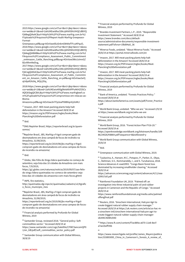2015[:https://www.google.com/url?sa=t&rct=j&q=&esrc=s&sou](https://www.google.com/url?sa=t&rct=j&q=&esrc=s&source=web&cd=2&ved=2ahUKEwidhuC89crjAhV0ShUIHQCdBtYQFjABegQIAxAC&url=http%3A%2F%2Fwww.marfrig.com.br%2FUploads%2FArquivos%2FReport-Audit-Marfrig-Greepeace-Format-Greenpeace.pdf&usg=AOvVaw0EaSnkmD84AxfTFcuKPquO) [rce=web&cd=2&ved=2ahUKEwidhuC89crjAhV0ShUIHQCdBtYQ](https://www.google.com/url?sa=t&rct=j&q=&esrc=s&source=web&cd=2&ved=2ahUKEwidhuC89crjAhV0ShUIHQCdBtYQFjABegQIAxAC&url=http%3A%2F%2Fwww.marfrig.com.br%2FUploads%2FArquivos%2FReport-Audit-Marfrig-Greepeace-Format-Greenpeace.pdf&usg=AOvVaw0EaSnkmD84AxfTFcuKPquO) [FjABegQIAxAC&url=http%3A%2F%2Fwww.marfrig.com.br%2](https://www.google.com/url?sa=t&rct=j&q=&esrc=s&source=web&cd=2&ved=2ahUKEwidhuC89crjAhV0ShUIHQCdBtYQFjABegQIAxAC&url=http%3A%2F%2Fwww.marfrig.com.br%2FUploads%2FArquivos%2FReport-Audit-Marfrig-Greepeace-Format-Greenpeace.pdf&usg=AOvVaw0EaSnkmD84AxfTFcuKPquO) [FUploads%2FArquivos%2FReport-Audit-Marfrig-Greepeace-](https://www.google.com/url?sa=t&rct=j&q=&esrc=s&source=web&cd=2&ved=2ahUKEwidhuC89crjAhV0ShUIHQCdBtYQFjABegQIAxAC&url=http%3A%2F%2Fwww.marfrig.com.br%2FUploads%2FArquivos%2FReport-Audit-Marfrig-Greepeace-Format-Greenpeace.pdf&usg=AOvVaw0EaSnkmD84AxfTFcuKPquO)[Format-](https://www.google.com/url?sa=t&rct=j&q=&esrc=s&source=web&cd=2&ved=2ahUKEwidhuC89crjAhV0ShUIHQCdBtYQFjABegQIAxAC&url=http%3A%2F%2Fwww.marfrig.com.br%2FUploads%2FArquivos%2FReport-Audit-Marfrig-Greepeace-Format-Greenpeace.pdf&usg=AOvVaw0EaSnkmD84AxfTFcuKPquO)

<span id="page-18-0"></span>[Greenpeace.pdf&usg=AOvVaw0EaSnkmD84AxfTFcuKPquO,](https://www.google.com/url?sa=t&rct=j&q=&esrc=s&source=web&cd=2&ved=2ahUKEwidhuC89crjAhV0ShUIHQCdBtYQFjABegQIAxAC&url=http%3A%2F%2Fwww.marfrig.com.br%2FUploads%2FArquivos%2FReport-Audit-Marfrig-Greepeace-Format-Greenpeace.pdf&usg=AOvVaw0EaSnkmD84AxfTFcuKPquO)  2016[:https://www.google.com/url?sa=t&rct=j&q=&esrc=s&sou](https://www.google.com/url?sa=t&rct=j&q=&esrc=s&source=web&cd=1&ved=2ahUKEwidhuC89crjAhV0ShUIHQCdBtYQFjAAegQIABAB&url=http%3A%2F%2Fwww.marfrig.com.br%2FArquivos%2FCompliance_Assessment_Public_Commitment_onAmazon_Cattle_Ranching.pdf&usg=AOvVaw3Wo1sImvGZB2v9lhmNeDvg) [rce=web&cd=1&ved=2ahUKEwidhuC89crjAhV0ShUIHQCdBtYQ](https://www.google.com/url?sa=t&rct=j&q=&esrc=s&source=web&cd=1&ved=2ahUKEwidhuC89crjAhV0ShUIHQCdBtYQFjAAegQIABAB&url=http%3A%2F%2Fwww.marfrig.com.br%2FArquivos%2FCompliance_Assessment_Public_Commitment_onAmazon_Cattle_Ranching.pdf&usg=AOvVaw3Wo1sImvGZB2v9lhmNeDvg) [FjAAegQIABAB&url=http%3A%2F%2Fwww.marfrig.com.br%2](https://www.google.com/url?sa=t&rct=j&q=&esrc=s&source=web&cd=1&ved=2ahUKEwidhuC89crjAhV0ShUIHQCdBtYQFjAAegQIABAB&url=http%3A%2F%2Fwww.marfrig.com.br%2FArquivos%2FCompliance_Assessment_Public_Commitment_onAmazon_Cattle_Ranching.pdf&usg=AOvVaw3Wo1sImvGZB2v9lhmNeDvg) [FArquivos%2FCompliance\\_Assessment\\_Public\\_Commitment](https://www.google.com/url?sa=t&rct=j&q=&esrc=s&source=web&cd=1&ved=2ahUKEwidhuC89crjAhV0ShUIHQCdBtYQFjAAegQIABAB&url=http%3A%2F%2Fwww.marfrig.com.br%2FArquivos%2FCompliance_Assessment_Public_Commitment_onAmazon_Cattle_Ranching.pdf&usg=AOvVaw3Wo1sImvGZB2v9lhmNeDvg) [\\_onAmazon\\_Cattle\\_Ranching.pdf&usg=AOvVaw3Wo1sImvGZ](https://www.google.com/url?sa=t&rct=j&q=&esrc=s&source=web&cd=1&ved=2ahUKEwidhuC89crjAhV0ShUIHQCdBtYQFjAAegQIABAB&url=http%3A%2F%2Fwww.marfrig.com.br%2FArquivos%2FCompliance_Assessment_Public_Commitment_onAmazon_Cattle_Ranching.pdf&usg=AOvVaw3Wo1sImvGZB2v9lhmNeDvg) [B2v9lhmNeDvg,](https://www.google.com/url?sa=t&rct=j&q=&esrc=s&source=web&cd=1&ved=2ahUKEwidhuC89crjAhV0ShUIHQCdBtYQFjAAegQIABAB&url=http%3A%2F%2Fwww.marfrig.com.br%2FArquivos%2FCompliance_Assessment_Public_Commitment_onAmazon_Cattle_Ranching.pdf&usg=AOvVaw3Wo1sImvGZB2v9lhmNeDvg)

<span id="page-18-1"></span>2017[:https://www.google.com/url?sa=t&rct=j&q=&esrc=s&sou](https://www.google.com/url?sa=t&rct=j&q=&esrc=s&source=web&cd=3&ved=2ahUKEwidhuC89crjAhV0ShUIHQCdBtYQFjACegQIAhAC&url=http%3A%2F%2Fwww.marfrig.com.br%2FArquivos%2FCompliance_Assessment_of_Public_Commitment_on_Amazon_Cattle_Ranching_en.pdf&usg=AOvVaw2wYjqUdpdGXs9q_MQcj35q) [rce=web&cd=3&ved=2ahUKEwidhuC89crjAhV0ShUIHQCdBtYQ](https://www.google.com/url?sa=t&rct=j&q=&esrc=s&source=web&cd=3&ved=2ahUKEwidhuC89crjAhV0ShUIHQCdBtYQFjACegQIAhAC&url=http%3A%2F%2Fwww.marfrig.com.br%2FArquivos%2FCompliance_Assessment_of_Public_Commitment_on_Amazon_Cattle_Ranching_en.pdf&usg=AOvVaw2wYjqUdpdGXs9q_MQcj35q) [FjACegQIAhAC&url=http%3A%2F%2Fwww.marfrig.com.br%2](https://www.google.com/url?sa=t&rct=j&q=&esrc=s&source=web&cd=3&ved=2ahUKEwidhuC89crjAhV0ShUIHQCdBtYQFjACegQIAhAC&url=http%3A%2F%2Fwww.marfrig.com.br%2FArquivos%2FCompliance_Assessment_of_Public_Commitment_on_Amazon_Cattle_Ranching_en.pdf&usg=AOvVaw2wYjqUdpdGXs9q_MQcj35q) [FArquivos%2FCompliance\\_Assessment\\_of\\_Public\\_Commitm](https://www.google.com/url?sa=t&rct=j&q=&esrc=s&source=web&cd=3&ved=2ahUKEwidhuC89crjAhV0ShUIHQCdBtYQFjACegQIAhAC&url=http%3A%2F%2Fwww.marfrig.com.br%2FArquivos%2FCompliance_Assessment_of_Public_Commitment_on_Amazon_Cattle_Ranching_en.pdf&usg=AOvVaw2wYjqUdpdGXs9q_MQcj35q) [ent\\_on\\_Amazon\\_Cattle\\_Ranching\\_en.pdf&usg=AOvVaw2wYj](https://www.google.com/url?sa=t&rct=j&q=&esrc=s&source=web&cd=3&ved=2ahUKEwidhuC89crjAhV0ShUIHQCdBtYQFjACegQIAhAC&url=http%3A%2F%2Fwww.marfrig.com.br%2FArquivos%2FCompliance_Assessment_of_Public_Commitment_on_Amazon_Cattle_Ranching_en.pdf&usg=AOvVaw2wYjqUdpdGXs9q_MQcj35q) [qUdpdGXs9q\\_MQcj35q,](https://www.google.com/url?sa=t&rct=j&q=&esrc=s&source=web&cd=3&ved=2ahUKEwidhuC89crjAhV0ShUIHQCdBtYQFjACegQIAhAC&url=http%3A%2F%2Fwww.marfrig.com.br%2FArquivos%2FCompliance_Assessment_of_Public_Commitment_on_Amazon_Cattle_Ranching_en.pdf&usg=AOvVaw2wYjqUdpdGXs9q_MQcj35q) 

<span id="page-18-2"></span>2018[:https://www.google.com/url?sa=t&rct=j&q=&esrc=s&sou](https://www.google.com/url?sa=t&rct=j&q=&esrc=s&source=web&cd=19&ved=2ahUKEwis49SglNnkAhXPPsAKHZOSCsAQFjASegQICBAJ&url=http%3A%2F%2Fwww.marfrigbeef.com%2Fuploads%2Farquivos%2FCompromisso-em-relacao-ao-Bioma-Amazonia.pdf&usg=AOvVaw3nTFp2eaPX8BXqnXyVsMLl) [rce=web&cd=19&ved=2ahUKEwis49SglNnkAhXPPsAKHZOSCs](https://www.google.com/url?sa=t&rct=j&q=&esrc=s&source=web&cd=19&ved=2ahUKEwis49SglNnkAhXPPsAKHZOSCsAQFjASegQICBAJ&url=http%3A%2F%2Fwww.marfrigbeef.com%2Fuploads%2Farquivos%2FCompromisso-em-relacao-ao-Bioma-Amazonia.pdf&usg=AOvVaw3nTFp2eaPX8BXqnXyVsMLl) [AQFjASegQICBAJ&url=http%3A%2F%2Fwww.marfrigbeef.co](https://www.google.com/url?sa=t&rct=j&q=&esrc=s&source=web&cd=19&ved=2ahUKEwis49SglNnkAhXPPsAKHZOSCsAQFjASegQICBAJ&url=http%3A%2F%2Fwww.marfrigbeef.com%2Fuploads%2Farquivos%2FCompromisso-em-relacao-ao-Bioma-Amazonia.pdf&usg=AOvVaw3nTFp2eaPX8BXqnXyVsMLl) [m%2Fuploads%2Farquivos%2FCompromisso-em-relacao-ao-](https://www.google.com/url?sa=t&rct=j&q=&esrc=s&source=web&cd=19&ved=2ahUKEwis49SglNnkAhXPPsAKHZOSCsAQFjASegQICBAJ&url=http%3A%2F%2Fwww.marfrigbeef.com%2Fuploads%2Farquivos%2FCompromisso-em-relacao-ao-Bioma-Amazonia.pdf&usg=AOvVaw3nTFp2eaPX8BXqnXyVsMLl)[Bioma-](https://www.google.com/url?sa=t&rct=j&q=&esrc=s&source=web&cd=19&ved=2ahUKEwis49SglNnkAhXPPsAKHZOSCsAQFjASegQICBAJ&url=http%3A%2F%2Fwww.marfrigbeef.com%2Fuploads%2Farquivos%2FCompromisso-em-relacao-ao-Bioma-Amazonia.pdf&usg=AOvVaw3nTFp2eaPX8BXqnXyVsMLl)

[Amazonia.pdf&usg=AOvVaw3nTFp2eaPX8BXqnXyVsMLl](https://www.google.com/url?sa=t&rct=j&q=&esrc=s&source=web&cd=19&ved=2ahUKEwis49SglNnkAhXPPsAKHZOSCsAQFjASegQICBAJ&url=http%3A%2F%2Fwww.marfrigbeef.com%2Fuploads%2Farquivos%2FCompromisso-em-relacao-ao-Bioma-Amazonia.pdf&usg=AOvVaw3nTFp2eaPX8BXqnXyVsMLl)

<span id="page-18-3"></span><sup>57</sup> Imazon, 2017. Will meat-packing plants help halt deforestation in the Amazon? Accessed 28/8/19 at [https://imazon.org.br/PDFimazon/Ingles/books/Meat-](https://imazon.org.br/PDFimazon/Ingles/books/Meat-Plancking%20Deforestation.pdf)[Plancking%20Deforestation.pdf](https://imazon.org.br/PDFimazon/Ingles/books/Meat-Plancking%20Deforestation.pdf)

<sup>58</sup> Ibid.

<u>.</u>

59ONG Repórter Brasil[, https://reporterbrasil.org.br/quem](https://reporterbrasil.org.br/quem-somos/)[somos/](https://reporterbrasil.org.br/quem-somos/)

<span id="page-18-4"></span>60Repórter Brasil, JBS, Marfrig e Frigol compram gado de desmatadores em área campeã de focos de incêndio na Amazônia, 31/08/2019,

[https://reporterbrasil.org.br/2019/08/jbs-marfrig-e-frigol](https://reporterbrasil.org.br/2019/08/jbs-marfrig-e-frigol-compram-gado-de-desmatadores-em-area-campea-de-focos-de-incendio-na-amazonia/)[compram-gado-de-desmatadores-em-area-campea-de-focos](https://reporterbrasil.org.br/2019/08/jbs-marfrig-e-frigol-compram-gado-de-desmatadores-em-area-campea-de-focos-de-incendio-na-amazonia/)[de-incendio-na-amazonia/](https://reporterbrasil.org.br/2019/08/jbs-marfrig-e-frigol-compram-gado-de-desmatadores-em-area-campea-de-focos-de-incendio-na-amazonia/)

<span id="page-18-5"></span> $61$  Ibid.

<sup>62</sup> Globo, São Félix do Xingu lidera queimadas no começo de setembro; veja lista das 10 cidades da Amazônia com mais focos, 7/9/2019,

<span id="page-18-6"></span>[https://g1.globo.com/natureza/noticia/2019/09/07/sao-felix](https://g1.globo.com/natureza/noticia/2019/09/07/sao-felix-do-xingu-lidera-queimadas-no-comeco-de-setembro-veja-lista-das-10-cidades-da-amazonia-com-mais-focos.ghtml)[do-xingu-lidera-queimadas-no-comeco-de-setembro-veja](https://g1.globo.com/natureza/noticia/2019/09/07/sao-felix-do-xingu-lidera-queimadas-no-comeco-de-setembro-veja-lista-das-10-cidades-da-amazonia-com-mais-focos.ghtml)[lista-das-10-cidades-da-amazonia-com-mais-focos.ghtml](https://g1.globo.com/natureza/noticia/2019/09/07/sao-felix-do-xingu-lidera-queimadas-no-comeco-de-setembro-veja-lista-das-10-cidades-da-amazonia-com-mais-focos.ghtml)

<sup>63</sup> INPE, fire statistics,

<span id="page-18-7"></span>[http://queimadas.dgi.inpe.br/queimadas/cadastro/v2/#grafic](http://queimadas.dgi.inpe.br/queimadas/cadastro/v2/#grafico_focos_municipio_mes) [o\\_focos\\_municipio\\_mes](http://queimadas.dgi.inpe.br/queimadas/cadastro/v2/#grafico_focos_municipio_mes)

<span id="page-18-8"></span>64Repórter Brasil, JBS, Marfrig e Frigol compram gado de desmatadores em área campeã de focos de incêndio na Amazônia, 31/08/2019,

[https://reporterbrasil.org.br/2019/08/jbs-marfrig-e-frigol](https://reporterbrasil.org.br/2019/08/jbs-marfrig-e-frigol-compram-gado-de-desmatadores-em-area-campea-de-focos-de-incendio-na-amazonia/)[compram-gado-de-desmatadores-em-area-campea-de-focos](https://reporterbrasil.org.br/2019/08/jbs-marfrig-e-frigol-compram-gado-de-desmatadores-em-area-campea-de-focos-de-incendio-na-amazonia/)[de-incendio-na-amazonia/](https://reporterbrasil.org.br/2019/08/jbs-marfrig-e-frigol-compram-gado-de-desmatadores-em-area-campea-de-focos-de-incendio-na-amazonia/)

<span id="page-18-9"></span><sup>65</sup> Financial analysis performed by Profundo for Global Witness, 2019

<sup>66</sup> Santander Group, reviewed 2018. "General policy: Soft commodities sector." Accessed 28/8/19 at [https://www.santander.com/csgs/Satellite/CFWCSancomQP0](https://www.santander.com/csgs/Satellite/CFWCSancomQP01/en_GB/pdf/soft_commodities_sector_policy.pdf) [1/en\\_GB/pdf/soft\\_commodities\\_sector\\_policy.pdf](https://www.santander.com/csgs/Satellite/CFWCSancomQP01/en_GB/pdf/soft_commodities_sector_policy.pdf)

<span id="page-18-11"></span><span id="page-18-10"></span><sup>67</sup> Santander Group communication with Global Witness, 30/8/19

<sup>68</sup> Financial analysis performed by Profundo for Global Witness, 2019

<sup>69</sup> Brandes Investment Partners, L.P., 2019. "Responsible Investment Statement." Accessed 28/8/19 at [https://www.brandes.com/docs/default](https://www.brandes.com/docs/default-source/administrative-documents/responsible-investment-statement.pdf?sfvrsn=1f8d94a5_36)[source/administrative-documents/responsible-investment](https://www.brandes.com/docs/default-source/administrative-documents/responsible-investment-statement.pdf?sfvrsn=1f8d94a5_36)[statement.pdf?sfvrsn=1f8d94a5\\_36](https://www.brandes.com/docs/default-source/administrative-documents/responsible-investment-statement.pdf?sfvrsn=1f8d94a5_36)

<sup>70</sup> Minerva Foods, undated. "About Minerva Foods." Accessed 28/8/19 a[t https://portal.minervafoods.com/en](https://portal.minervafoods.com/en)

 $71$  Imazon, 2017. Will meat-packing plants help halt deforestation in the Amazon? Accessed 28/8/19 at [https://imazon.org.br/PDFimazon/Ingles/books/Meat-](https://imazon.org.br/PDFimazon/Ingles/books/Meat-Plancking%20Deforestation.pdf)[Plancking%20Deforestation.pdf](https://imazon.org.br/PDFimazon/Ingles/books/Meat-Plancking%20Deforestation.pdf)

<sup>72</sup> Imazon, 2017. Will meat-packing plants help halt deforestation in the Amazon? Accessed 28/8/19 at [https://imazon.org.br/PDFimazon/Ingles/books/Meat-](https://imazon.org.br/PDFimazon/Ingles/books/Meat-Plancking%20Deforestation.pdf)[Plancking%20Deforestation.pdf](https://imazon.org.br/PDFimazon/Ingles/books/Meat-Plancking%20Deforestation.pdf)

<sup>73</sup> Financial analysis performed by Profundo for Global Witness, 2019

<sup>74</sup> Bank of America, undated. "Forests Practices Policy." Accessed 28/8/19 at

[https://about.bankofamerica.com/assets/pdf/Forest\\_Practice](https://about.bankofamerica.com/assets/pdf/Forest_Practices.pdf) [s.pdf](https://about.bankofamerica.com/assets/pdf/Forest_Practices.pdf)

<sup>75</sup> World Bank Group, undated. "Who we are." Accessed 2/9/19 a[t https://www.worldbank.org/en/who-we-are](https://www.worldbank.org/en/who-we-are)

<sup>76</sup> Financial analysis performed by Profundo for Global Witness, 2019

 $77$  World Bank Group, 2016. "Forest Action Plan FY16-20." Accessed 28/8/19 at

[https://openknowledge.worldbank.org/bitstream/handle/109](https://openknowledge.worldbank.org/bitstream/handle/10986/24026/K8864.pdf?sequence=6&isAllowed=y) [86/24026/K8864.pdf?sequence=6&isAllowed=y](https://openknowledge.worldbank.org/bitstream/handle/10986/24026/K8864.pdf?sequence=6&isAllowed=y)

<sup>78</sup> World Bank Group communication with Global Witness, 20/8/19

 $79$  Ibid.

80 Greenpeace communication with Global Witness, 2019.

81 Tyukavina, A., Hansen, M.C., Potapov, P., Parker, D., Okpa, C., Stehman, S.V., Kommareddy, I., and S. Turubanova, 2018. Science Advances 4: eaat2993. "Congo Basin forest loss dominated by increasing smallholder clearing." Accessed 28/8/19 at

[https://advances.sciencemag.org/content/advances/4/11/eaa](https://advances.sciencemag.org/content/advances/4/11/eaat2993.full.pdf) [t2993.full.pdf](https://advances.sciencemag.org/content/advances/4/11/eaat2993.full.pdf)

82 Rainforest Foundation UK, 2019. "Palmed off: an investigation into three industrial palm oil and rubber projects in Cameroon and the Republic of Congo." Accessed 28/8/19 at

[https://www.rainforestfoundationuk.org/media.ashx/palmed](https://www.rainforestfoundationuk.org/media.ashx/palmedoffengfinal.pdf) [offengfinal.pdf](https://www.rainforestfoundationuk.org/media.ashx/palmedoffengfinal.pdf)

83 Reuters, 2016. 'Sinochem International, Halcyon Agri to create biggest natural rubber supply chain manager." Accessed 28/8/19 a[t https://uk.reuters.com/article/us-hac-m](https://uk.reuters.com/article/us-hac-m-a-sinochem-intl/sinochem-international-halcyon-agri-to-create-biggest-natural-rubber-supply-chain-manager-idUKKCN0WU04D)[a-sinochem-intl/sinochem-international-halcyon-agri-to](https://uk.reuters.com/article/us-hac-m-a-sinochem-intl/sinochem-international-halcyon-agri-to-create-biggest-natural-rubber-supply-chain-manager-idUKKCN0WU04D)[create-biggest-natural-rubber-supply-chain-manager](https://uk.reuters.com/article/us-hac-m-a-sinochem-intl/sinochem-international-halcyon-agri-to-create-biggest-natural-rubber-supply-chain-manager-idUKKCN0WU04D)[idUKKCN0WU04D](https://uk.reuters.com/article/us-hac-m-a-sinochem-intl/sinochem-international-halcyon-agri-to-create-biggest-natural-rubber-supply-chain-manager-idUKKCN0WU04D)

<sup>84</sup> [https://www.ft.com/content/f7ac889a-a670-11e8-8ecf](https://www.ft.com/content/f7ac889a-a670-11e8-8ecf-a7ae1beff35b)[a7ae1beff35b](https://www.ft.com/content/f7ac889a-a670-11e8-8ecf-a7ae1beff35b)

[https://www.researchgate.net/profile/James\\_Mayers/publica](https://www.researchgate.net/profile/James_Mayers/publication/333893095_China_in_Cameroon) [tion/333893095\\_China\\_in\\_Cameroon's\\_forests\\_A\\_review\\_of\\_](https://www.researchgate.net/profile/James_Mayers/publication/333893095_China_in_Cameroon)

85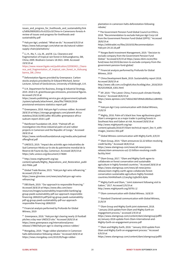<span id="page-19-1"></span><span id="page-19-0"></span><u>.</u> [issues\\_and\\_progress\\_for\\_livelihoods\\_and\\_sustainability/link](https://www.researchgate.net/profile/James_Mayers/publication/333893095_China_in_Cameroon) [s/5d0b2fd092851cfcc6252cc9/China-in-Cameroons-forests-A](https://www.researchgate.net/profile/James_Mayers/publication/333893095_China_in_Cameroon)[review-of-issues-and-progress-for-livelihoods-and](https://www.researchgate.net/profile/James_Mayers/publication/333893095_China_in_Cameroon)[sustainability.pdf](https://www.researchgate.net/profile/James_Mayers/publication/333893095_China_in_Cameroon)

<span id="page-19-2"></span>86 Halcyon Agri, undated. "What we do." Accessed 6/9/19 at [https://www.halcyonagri.com/what-we-do/natural-rubber](https://www.halcyonagri.com/what-we-do/natural-rubber-supply-chain/plantations/)[supply-chain/plantations/](https://www.halcyonagri.com/what-we-do/natural-rubber-supply-chain/plantations/)

<span id="page-19-3"></span><sup>87</sup> Li, H., Ma, Y., Liu, W., and W. Liu. Clearance and fragmentation of tropical rain forest in Xishuangbanna, SW, China; 2009. Biodivers Conserv 18:3421–3440. Accessed 19/9/19 at

<span id="page-19-4"></span>[https://www.researchgate.net/publication/225583421\\_Cleara](https://www.researchgate.net/publication/225583421_Clearance_and_fragmentation_of_tropical_rain_forest_in_Xishuangbanna_SW_China) [nce\\_and\\_fragmentation\\_of\\_tropical\\_rain\\_forest\\_in\\_Xishuang](https://www.researchgate.net/publication/225583421_Clearance_and_fragmentation_of_tropical_rain_forest_in_Xishuangbanna_SW_China) [banna\\_SW\\_China](https://www.researchgate.net/publication/225583421_Clearance_and_fragmentation_of_tropical_rain_forest_in_Xishuangbanna_SW_China)

<span id="page-19-5"></span>88 Deforestation figures provided by Greenpeace. Carbon stocks analysis provided by Dr Edward Mitchard, Senior Lecturer, School of GeoSciences, University of Edinburgh, U.K.

<span id="page-19-7"></span><span id="page-19-6"></span>89 U.K. Department for Business, Energy & Industrial Strategy, 2019. 2018 U.K. greenhouse gas emissions, provisional figures. Accessed 2/9/19 at

[https://assets.publishing.service.gov.uk/government/uploads](https://assets.publishing.service.gov.uk/government/uploads/system/uploads/attachment_data/file/790626/2018-provisional-emissions-statistics-report.pdf) [/system/uploads/attachment\\_data/file/790626/2018](https://assets.publishing.service.gov.uk/government/uploads/system/uploads/attachment_data/file/790626/2018-provisional-emissions-statistics-report.pdf) [provisional-emissions-statistics-report.pdf](https://assets.publishing.service.gov.uk/government/uploads/system/uploads/attachment_data/file/790626/2018-provisional-emissions-statistics-report.pdf)

<span id="page-19-9"></span><span id="page-19-8"></span><sup>90</sup> Greenpeace, 2018. Halcyon Agri's ruinous rubber. Accessed 28/8/19 a[t https://storage.googleapis.com/planet4-africa](https://storage.googleapis.com/planet4-africa-stateless/2018/10/8f21a9bc-8f21a9bc-greenpeace-africa-sudcam-report-2018-1.pdf)[stateless/2018/10/8f21a9bc-8f21a9bc-greenpeace-africa](https://storage.googleapis.com/planet4-africa-stateless/2018/10/8f21a9bc-8f21a9bc-greenpeace-africa-sudcam-report-2018-1.pdf)[sudcam-report-2018-1.pdf](https://storage.googleapis.com/planet4-africa-stateless/2018/10/8f21a9bc-8f21a9bc-greenpeace-africa-sudcam-report-2018-1.pdf)

<span id="page-19-10"></span>91 Rainforest Foundation UK, 2019. "Palmed off: an investigation into three industrial palm oil and rubber projects in Cameroon and the Republic of Congo." Accessed 28/8/19 at

<span id="page-19-11"></span>[https://www.rainforestfoundationuk.org/media.ashx/palmed](https://www.rainforestfoundationuk.org/media.ashx/palmedoffengfinal.pdf) [offengfinal.pdf](https://www.rainforestfoundationuk.org/media.ashx/palmedoffengfinal.pdf) 

<span id="page-19-12"></span>92 UNESCO, 2019. "Impact des activités agro-industrielles de Sud Cameroun Hévéa sur le site du patrimoine mondial de la Reserve de Faune du Dja, Cameroun. Accessed 28/9/19 at <https://whc.unesco.org/document/174684>

<span id="page-19-13"></span><sup>93</sup> [http://www.mightyearth.org/wp-](http://www.mightyearth.org/wp-content/uploads/Mighty_Reparations_and_Restoration_publish2-FINAL.pdf)

[content/uploads/Mighty\\_Reparations\\_and\\_Restoration\\_publi](http://www.mightyearth.org/wp-content/uploads/Mighty_Reparations_and_Restoration_publish2-FINAL.pdf) [sh2-FINAL.pdf](http://www.mightyearth.org/wp-content/uploads/Mighty_Reparations_and_Restoration_publish2-FINAL.pdf)

<span id="page-19-14"></span>94 Global Trade Review, 2015. "Halcyon Agri wins refinancing." Accessed 2/9/19 at

[https://www.gtreview.com/news/asia/halcyon-agri-wins](https://www.gtreview.com/news/asia/halcyon-agri-wins-refinancing/)[refinancing/](https://www.gtreview.com/news/asia/halcyon-agri-wins-refinancing/)

<span id="page-19-15"></span>95 DBS Bank, 2019. "Our approach to responsible financing." Accessed 28/8/19 a[t https://www.dbs.com/iwov](https://www.dbs.com/iwov-resources/images/sustainability/responsible-banking/sg-group-pweb-sustainability-pdf-our-approach-responsible-financing-18062019.pdf?pid=sg-group-pweb-sustainability-pdf-sg-group-pweb-sustainability-pdf-our-approach-responsible-financing-18062019)[resources/images/sustainability/responsible-banking/sg](https://www.dbs.com/iwov-resources/images/sustainability/responsible-banking/sg-group-pweb-sustainability-pdf-our-approach-responsible-financing-18062019.pdf?pid=sg-group-pweb-sustainability-pdf-sg-group-pweb-sustainability-pdf-our-approach-responsible-financing-18062019)[group-pweb-sustainability-pdf-our-approach-responsible](https://www.dbs.com/iwov-resources/images/sustainability/responsible-banking/sg-group-pweb-sustainability-pdf-our-approach-responsible-financing-18062019.pdf?pid=sg-group-pweb-sustainability-pdf-sg-group-pweb-sustainability-pdf-our-approach-responsible-financing-18062019)[financing-18062019.pdf?pid=sg-group-pweb-sustainability](https://www.dbs.com/iwov-resources/images/sustainability/responsible-banking/sg-group-pweb-sustainability-pdf-our-approach-responsible-financing-18062019.pdf?pid=sg-group-pweb-sustainability-pdf-sg-group-pweb-sustainability-pdf-our-approach-responsible-financing-18062019)[pdf-sg-group-pweb-sustainability-pdf-our-approach](https://www.dbs.com/iwov-resources/images/sustainability/responsible-banking/sg-group-pweb-sustainability-pdf-our-approach-responsible-financing-18062019.pdf?pid=sg-group-pweb-sustainability-pdf-sg-group-pweb-sustainability-pdf-our-approach-responsible-financing-18062019)[responsible-financing-18062019](https://www.dbs.com/iwov-resources/images/sustainability/responsible-banking/sg-group-pweb-sustainability-pdf-our-approach-responsible-financing-18062019.pdf?pid=sg-group-pweb-sustainability-pdf-sg-group-pweb-sustainability-pdf-our-approach-responsible-financing-18062019)

96 Financial analysis performed by Profundo for Global Witness, 2019

<span id="page-19-16"></span><sup>97</sup> Greenpeace, 2018. "Halcyon Agri clearing nearly 10 football pitches a day near UNESCO site." Accessed 28/8/19 at [https://www.greenpeace.org/international/press](https://www.greenpeace.org/international/press-release/17860/halcyon-agri-is-clearing-unesco-rubber/)[release/17860/halcyon-agri-is-clearing-unesco-rubber/](https://www.greenpeace.org/international/press-release/17860/halcyon-agri-is-clearing-unesco-rubber/)

<span id="page-19-17"></span>98 Mongabay, 2019. "Huge rubber plantation in Cameroon halts deforestation following rebuke." Accessed 28/8/19 at [https://news.mongabay.com/2019/05/huge-rubber-](https://news.mongabay.com/2019/05/huge-rubber-plantation-in-cameroon-halts-deforestation-following-rebuke/) [plantation-in-cameroon-halts-deforestation-following](https://news.mongabay.com/2019/05/huge-rubber-plantation-in-cameroon-halts-deforestation-following-rebuke/)[rebuke/](https://news.mongabay.com/2019/05/huge-rubber-plantation-in-cameroon-halts-deforestation-following-rebuke/)

99 The Government Pension Fund Global Council on Ethics, 2018. "Recommendation to exclude Halcyon Agri Corp Ltd from the Government Pension Fund Global (GPFG)." Accessed 28/8/19 at

[https://etikkradet.no/files/2019/03/Recommendation-](https://etikkradet.no/files/2019/03/Recommendation-Halcyon-24.10.18.pdf)[Halcyon-24.10.18.pdf](https://etikkradet.no/files/2019/03/Recommendation-Halcyon-24.10.18.pdf)

<sup>100</sup> Norges Bank Investment Management, 2019. "Decision to exclude company from the Government Pension Fund Global." Accessed 6/9/19 a[t https://www.nbim.no/en/the](https://www.nbim.no/en/the-fund/news-list/2019/decision-to-exclude-company-from-the-government-pension-fund-global/)[fund/news-list/2019/decision-to-exclude-company-from-the](https://www.nbim.no/en/the-fund/news-list/2019/decision-to-exclude-company-from-the-government-pension-fund-global/)[government-pension-fund-global/](https://www.nbim.no/en/the-fund/news-list/2019/decision-to-exclude-company-from-the-government-pension-fund-global/)

<sup>101</sup> Financial analysis performed by Profundo for Global Witness, 2019

<sup>102</sup> China Development Bank, 2019. Sustainability report 2018. Accessed 28/8/19 at

[http://www.cdb.com.cn/English/shzr/kcxfzbg/shzr\\_2018/2019](http://www.cdb.com.cn/English/shzr/kcxfzbg/shzr_2018/201906/t20190628_6301.html) [06/t20190628\\_6301.html](http://www.cdb.com.cn/English/shzr/kcxfzbg/shzr_2018/201906/t20190628_6301.html)

<sup>103</sup> AP, 2019. "The Latest: China, France push climate-friendly finance." Accessed 28/8/19 at

[https://www.apnews.com/7e82e23667d94eb18b0ba11d84901](https://www.apnews.com/7e82e23667d94eb18b0ba11d8490178a) [78a](https://www.apnews.com/7e82e23667d94eb18b0ba11d8490178a)

<sup>104</sup> Halcyon Agri Corp communication with Global Witness, 15/8/19

<sup>105</sup> Mighty, 2016. Palm oil's black box: how agribusiness giant Olam's emergence as a major trader is putting forests in Southeast Asia and Gabon at risk. Accessed 28/8/19 at [http://www.mightyearth.org/wp](http://www.mightyearth.org/wp-content/uploads/2016/07/Olam-technical-report_Dec-9_with-images_lowres1-002.pdf)[content/uploads/2016/07/Olam-technical-report\\_Dec-9\\_with](http://www.mightyearth.org/wp-content/uploads/2016/07/Olam-technical-report_Dec-9_with-images_lowres1-002.pdf)[images\\_lowres1-002.pdf](http://www.mightyearth.org/wp-content/uploads/2016/07/Olam-technical-report_Dec-9_with-images_lowres1-002.pdf)

106 Global Witness communication with Mighty Earth, 6/9/19

107 Olam Group, 2014. "Olam announces \$2.22 billion revolving credit facility." Accessed 28/8/19 at [https://www.olamgroup.com/news/all-news/press-](https://www.olamgroup.com/news/all-news/press-release/olam-announces-us2-22-billion-revolving-credit-facility.html)

[release/olam-announces-us2-22-billion-revolving-credit](https://www.olamgroup.com/news/all-news/press-release/olam-announces-us2-22-billion-revolving-credit-facility.html)[facility.html](https://www.olamgroup.com/news/all-news/press-release/olam-announces-us2-22-billion-revolving-credit-facility.html)

<sup>108</sup> Olam Group, 2017. "Olam and Mighty Earth agree to collaborate on forest conservation and sustainable agriculture in highly forested countries." Accessed 28/8/19 at [https://www.olamgroup.com/news/all-news/press](https://www.olamgroup.com/news/all-news/press-release/olam-mighty-earth-agree-collaborate-forest-conservation-sustainable-agriculture-highly-forested-countries.html#sthash.L21avyhg.UyjbsSh3.dpbs)[release/olam-mighty-earth-agree-collaborate-forest](https://www.olamgroup.com/news/all-news/press-release/olam-mighty-earth-agree-collaborate-forest-conservation-sustainable-agriculture-highly-forested-countries.html#sthash.L21avyhg.UyjbsSh3.dpbs)[conservation-sustainable-agriculture-highly-forested](https://www.olamgroup.com/news/all-news/press-release/olam-mighty-earth-agree-collaborate-forest-conservation-sustainable-agriculture-highly-forested-countries.html#sthash.L21avyhg.UyjbsSh3.dpbs)[countries.html#sthash.L21avyhg.UyjbsSh3.dpbs](https://www.olamgroup.com/news/all-news/press-release/olam-mighty-earth-agree-collaborate-forest-conservation-sustainable-agriculture-highly-forested-countries.html#sthash.L21avyhg.UyjbsSh3.dpbs)

109 Mighty Earth and Olam, "Joint statement following visit to Gabon," 2017. Accessed 2/9/19 at <http://www.mightyearth.org/50791-2/>

<sup>110</sup> Olam communication with Global Witness. 16/8/19

<sup>111</sup> Standard Chartered communication with Global Witness, 21/8/19

112 Olam Group and Mighty Earth joint statement, 2018. "January 2018 update from Olam and Mighty Earth on engagement process," accessed 2/9/19 at [https://www.olamgroup.com/content/dam/olamgroup/pdffil](https://www.olamgroup.com/content/dam/olamgroup/pdffiles/January-2018-update-from-Olam-International-and-Mighty-Earth-on-engagement-process.pdf) [es/January-2018-update-from-Olam-International-and-](https://www.olamgroup.com/content/dam/olamgroup/pdffiles/January-2018-update-from-Olam-International-and-Mighty-Earth-on-engagement-process.pdf)[Mighty-Earth-on-engagement-process.pdf](https://www.olamgroup.com/content/dam/olamgroup/pdffiles/January-2018-update-from-Olam-International-and-Mighty-Earth-on-engagement-process.pdf)

<sup>113</sup> Olam and Mighty Earth, 2018. "January 2018 update from Olam and Mighty Earth on engagement process." Accessed 6/9/19 at

[https://www.olamgroup.com/content/dam/olamgroup/pdffil](https://www.olamgroup.com/content/dam/olamgroup/pdffiles/January-2018-update-from-Olam-International-and-Mighty-Earth-on-engagement-process.pdf)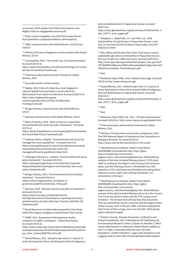[es/January-2018-update-from-Olam-International-and-](https://www.olamgroup.com/content/dam/olamgroup/pdffiles/January-2018-update-from-Olam-International-and-Mighty-Earth-on-engagement-process.pdf)[Mighty-Earth-on-engagement-process.pdf](https://www.olamgroup.com/content/dam/olamgroup/pdffiles/January-2018-update-from-Olam-International-and-Mighty-Earth-on-engagement-process.pdf)

<u>.</u>

<sup>114</sup> [https://news.mongabay.com/2019/03/norway-divests](https://news.mongabay.com/2019/03/norway-divests-from-plantation-companies-linked-to-deforestation/)[from-plantation-companies-linked-to-deforestation/](https://news.mongabay.com/2019/03/norway-divests-from-plantation-companies-linked-to-deforestation/)

<sup>115</sup> HSBC communication with Global Witness, 21/8/19 and 28/8/19

<sup>116</sup> Ministry of Finance (Singapore) communication with Global Witness, 5/9/19

<sup>117</sup> Investopedia, 2019. "The world's top 10 investment banks." Accessed 6/9/19 at

[https://www.investopedia.com/articles/investing/111114/wor](https://www.investopedia.com/articles/investing/111114/worlds-top-10-investment-banks.asp) [lds-top-10-investment-banks.asp](https://www.investopedia.com/articles/investing/111114/worlds-top-10-investment-banks.asp)

<sup>118</sup> Financial analysis performed by Profundo for Global Witness, 2019

<sup>119</sup> See bullet points in Brazil section

<sup>120</sup> Mighty, 2016. Palm oil's black box: how Singapore's national wealth fund has fueled a secret vehicle for deforestation from Gabon to Indonesia. Accessed 28/8/19 at [http://www.mightyearth.org/wp](http://www.mightyearth.org/wp-content/uploads/2016/12/Palm-Oil-Black-Box-PrintApproval4.pdf)[content/uploads/2016/12/Palm-Oil-Black-Box-](http://www.mightyearth.org/wp-content/uploads/2016/12/Palm-Oil-Black-Box-PrintApproval4.pdf)[PrintApproval4.pdf](http://www.mightyearth.org/wp-content/uploads/2016/12/Palm-Oil-Black-Box-PrintApproval4.pdf)

<span id="page-20-0"></span><sup>121</sup> Morgan Stanley communication with Global Witness, 5/9/19

<sup>122</sup> Barclays communication with Global Witness, 5/9/19

<span id="page-20-2"></span><span id="page-20-1"></span><sup>123</sup> Bank of America, 2019. "Bank of America Corporation environmental and social risk policy framework." Accessed 6/9/19 at

<span id="page-20-3"></span>[https://about.bankofamerica.com/assets/pdf/Environmental](https://about.bankofamerica.com/assets/pdf/Environmental-and-Social-Risk-Policy-Framework.pdf)[and-Social-Risk-Policy-Framework.pdf](https://about.bankofamerica.com/assets/pdf/Environmental-and-Social-Risk-Policy-Framework.pdf)

<sup>124</sup> Goldman Sachs, undated. "Environmental and social risk management sector guidelines." Accessed 6/9/19 at [https://www.goldmansachs.com/citizenship/environmental](https://www.goldmansachs.com/citizenship/environmental-stewardship/environmental-and-social-risk-management/sector-guidelines/index.html)[stewardship/environmental-and-social-risk](https://www.goldmansachs.com/citizenship/environmental-stewardship/environmental-and-social-risk-management/sector-guidelines/index.html)[management/sector-guidelines/index.html;](https://www.goldmansachs.com/citizenship/environmental-stewardship/environmental-and-social-risk-management/sector-guidelines/index.html)

<span id="page-20-5"></span><span id="page-20-4"></span>125 JPMorgan Chase & Co., undated. "Environmental and social policy framework." Accessed 6/9/19 at [https://www.jpmorganchase.com/corporate/Corporate-](https://www.jpmorganchase.com/corporate/Corporate-Responsibility/document/jpmc-environmental-and-social-policy-framework.pdf)[Responsibility/document/jpmc-environmental-and-social](https://www.jpmorganchase.com/corporate/Corporate-Responsibility/document/jpmc-environmental-and-social-policy-framework.pdf)[policy-framework.pdf;](https://www.jpmorganchase.com/corporate/Corporate-Responsibility/document/jpmc-environmental-and-social-policy-framework.pdf)

<span id="page-20-6"></span><sup>126</sup> Morgan Stanley, 2019. "Environmental and social policy statement." Accessed 6/9/19 at [https://www.morganstanley.com/about-us](https://www.morganstanley.com/about-us-governance/pdf/Environmental_Policy.pdf)[governance/pdf/Environmental\\_Policy.pdf](https://www.morganstanley.com/about-us-governance/pdf/Environmental_Policy.pdf)

<span id="page-20-7"></span><sup>127</sup> Barclays, 2019. "Barclays forestry and palm oil statement." Accessed 6/9/19 at

[https://home.barclays/content/dam/home](https://home.barclays/content/dam/home-barclays/documents/citizenship/our-reporting-and-policy-positions/policy-positions/Barclays-Forestry-and-Palm-Oil-Statement.pdf)[barclays/documents/citizenship/our-reporting-and-policy](https://home.barclays/content/dam/home-barclays/documents/citizenship/our-reporting-and-policy-positions/policy-positions/Barclays-Forestry-and-Palm-Oil-Statement.pdf)[positions/policy-positions/Barclays-Forestry-and-Palm-Oil-](https://home.barclays/content/dam/home-barclays/documents/citizenship/our-reporting-and-policy-positions/policy-positions/Barclays-Forestry-and-Palm-Oil-Statement.pdf)[Statement.pdf](https://home.barclays/content/dam/home-barclays/documents/citizenship/our-reporting-and-policy-positions/policy-positions/Barclays-Forestry-and-Palm-Oil-Statement.pdf)

<span id="page-20-8"></span>128 World Resource's Institute data assessed by Chris Moye, titled Third largest contiguous tropical forest: New Guinea

<span id="page-20-9"></span><sup>129</sup> UNDP, 2011. Assessment of development results: evaluation of UNDP contribution – Papua New Guinea. Accessed 6/9/19 at

[https://www.undp.org/content/dam/undp/library/corporate/](https://www.undp.org/content/dam/undp/library/corporate/Evaluation/Assesment%20of%20development%20results/Papua_New_Guinea/ADR-PNG-2011.pdf) [Evaluation/Assesment%20of%20development%20results/Pa](https://www.undp.org/content/dam/undp/library/corporate/Evaluation/Assesment%20of%20development%20results/Papua_New_Guinea/ADR-PNG-2011.pdf) [pua\\_New\\_Guinea/ADR-PNG-2011.pdf](https://www.undp.org/content/dam/undp/library/corporate/Evaluation/Assesment%20of%20development%20results/Papua_New_Guinea/ADR-PNG-2011.pdf)

<span id="page-20-10"></span>130 Global Witness, 2017. Stained trade: how U.S. imports of exotic flooring from China risk driving the theft of indigenous land and deforestation in Papua New Guinea. Accessed 28/8/19 at

[https://www.globalwitness.org/documents/19150/stained\\_tr](https://www.globalwitness.org/documents/19150/stained_trade_310717_lores_pages.pdf) [ade\\_310717\\_lores\\_pages.pdf](https://www.globalwitness.org/documents/19150/stained_trade_310717_lores_pages.pdf) 

131 Karigawa, L., Babarinde, J.A., and Holis, S.S., 2016. Sustainability of Land Groups in Papua New Guinea, Land, 5(2), 14. Accessed 19/9/19 at https://www.mdpi.com/2073- 445X/5/2/14/htm

132 Bito, Biatus and Nicolas Petit, 2016. Final report: toward sustainable agricultural commodities in Papua New Guinea – the case of palm oil, coffee and cocoa. Accessed 28/8/19 at [http://www.pg.undp.org/content/dam/papua\\_new\\_guinea/F](http://www.pg.undp.org/content/dam/papua_new_guinea/FCPF/ROAR%20REports/PNG%20Sustainable%20Agricultural%20%20Commodities_Final%20report.pdf) [CPF/ROAR%20REports/PNG%20Sustainable%20Agricultural%](http://www.pg.undp.org/content/dam/papua_new_guinea/FCPF/ROAR%20REports/PNG%20Sustainable%20Agricultural%20%20Commodities_Final%20report.pdf) [20%20Commodities\\_Final%20report.pdf](http://www.pg.undp.org/content/dam/papua_new_guinea/FCPF/ROAR%20REports/PNG%20Sustainable%20Agricultural%20%20Commodities_Final%20report.pdf)

 $133$  [Ibid.](http://www.pg.undp.org/content/dam/papua_new_guinea/FCPF/ROAR%20REports/PNG%20Sustainable%20Agricultural%20%20Commodities_Final%20report.pdf)

134 Rimbunan Hijau (PNG), 2015. Untitled main page. Accessed 6/9/19 a[t http://www.rhpng.com.pg/](http://www.rhpng.com.pg/)

135 Global Witness, 2017. Stained trade: how U.S. imports of exotic flooring from China risk driving the theft of indigenous land and deforestation in Papua New Guinea. Accessed 28/8/19 at

[https://www.globalwitness.org/documents/19150/stained\\_tr](https://www.globalwitness.org/documents/19150/stained_trade_310717_lores_pages.pdf) [ade\\_310717\\_lores\\_pages.pdf](https://www.globalwitness.org/documents/19150/stained_trade_310717_lores_pages.pdf) 

<sup>136</sup> Ibid.

 $137$  Ibid.

<sup>138</sup> Rimbunan Hijau (PNG) Ltd., 2011. "Oil palm development." Accessed 28/8/19 at<http://www.rhpng.com.pg/oilpalm.html>

139 Financial analysis performed by Profundo for Global Witness, 2019

<sup>140</sup> Ministry of Environment and Forestry of Indonesia, 2014. The Fifth National Report of Indonesia to the Convention on Biological Diversity. Accessed 6/9/19 at <https://www.cbd.int/doc/world/id/id-nr-05-en.pdf>

<sup>141</sup> World Resources Institute, Global Forest Watch, DASHBOARD, Download the Data[, https://gfw2](https://gfw2-data.s3.amazonaws.com/country-pages/country_stats/download/global.xlsx) [data.s3.amazonaws.com/country-](https://gfw2-data.s3.amazonaws.com/country-pages/country_stats/download/global.xlsx)

[pages/country\\_stats/download/global.xlsx.](https://gfw2-data.s3.amazonaws.com/country-pages/country_stats/download/global.xlsx) Global Witness analysis of this data included filtering column F (CO2 stock 2000) according to the largest in the Country CO2 emissions sheet, and then filtering column C (threshold) from 30% upwards to 75%, checking every threshold and seeing where Indonesia comes under each of those thresholds. It is consistently in the top 3.

<sup>142</sup> World Resources Institute, Global Forest Watch, DASHBOARD, Download the Data[, https://gfw2](https://gfw2-data.s3.amazonaws.com/country-pages/country_stats/download/global.xlsx) [data.s3.amazonaws.com/country-](https://gfw2-data.s3.amazonaws.com/country-pages/country_stats/download/global.xlsx)

[pages/country\\_stats/download/global.xlsx.](https://gfw2-data.s3.amazonaws.com/country-pages/country_stats/download/global.xlsx) Global Witness analysis of this data included filtering column B in the Country Tree Cover loss sheet to leave only the 75% canopy cover threshold – the densest kind of forest that they document. Then we selected the top ten countries with the largest extent of that canopy cover in the year 2000, and then analysed the total % loss of that canopy cover over the 2001-2018 period, which Indonesia topped.

<sup>143</sup> Kemen G Austin, Amanda Schwantes, Yaofeng Gu and Prasad S Kasibhatla, 2019. Published by IOP Publishing Ltd, Environmental Research Letters, Volume 14, Number 2. What causes deforestation in Indonesia? Global Witness added up the % in Table 2 associated with the rows: Oil Palm plantations, Timber Plantation, Large-scale plantations and Logging roads to reach 48% of total attributed deforestation